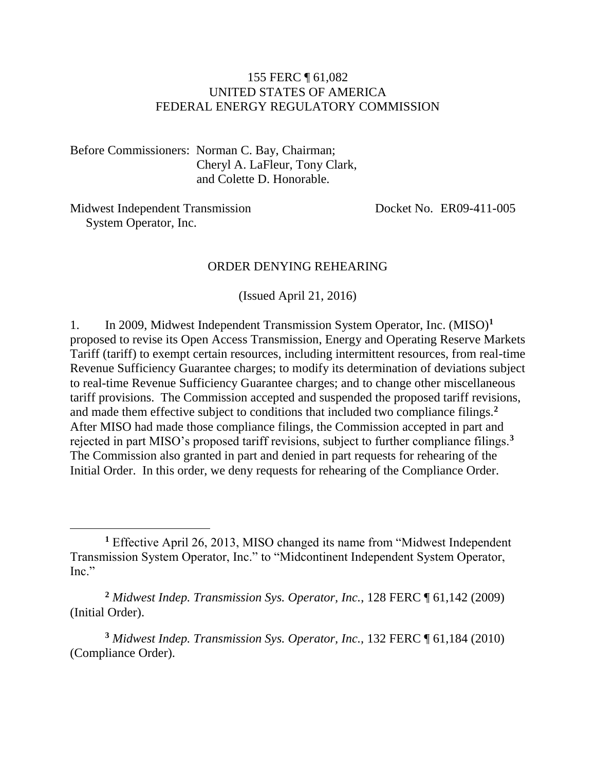#### 155 FERC ¶ 61,082 UNITED STATES OF AMERICA FEDERAL ENERGY REGULATORY COMMISSION

Before Commissioners: Norman C. Bay, Chairman; Cheryl A. LaFleur, Tony Clark, and Colette D. Honorable.

Midwest Independent Transmission System Operator, Inc.

 $\overline{a}$ 

Docket No. ER09-411-005

#### ORDER DENYING REHEARING

(Issued April 21, 2016)

1. In 2009, Midwest Independent Transmission System Operator, Inc. (MISO)**<sup>1</sup>** proposed to revise its Open Access Transmission, Energy and Operating Reserve Markets Tariff (tariff) to exempt certain resources, including intermittent resources, from real-time Revenue Sufficiency Guarantee charges; to modify its determination of deviations subject to real-time Revenue Sufficiency Guarantee charges; and to change other miscellaneous tariff provisions. The Commission accepted and suspended the proposed tariff revisions, and made them effective subject to conditions that included two compliance filings.**<sup>2</sup>** After MISO had made those compliance filings, the Commission accepted in part and rejected in part MISO's proposed tariff revisions, subject to further compliance filings.**<sup>3</sup>** The Commission also granted in part and denied in part requests for rehearing of the Initial Order. In this order, we deny requests for rehearing of the Compliance Order.

**<sup>2</sup>** *Midwest Indep. Transmission Sys. Operator, Inc.*, 128 FERC ¶ 61,142 (2009) (Initial Order).

**<sup>3</sup>** *Midwest Indep. Transmission Sys. Operator, Inc.,* 132 FERC ¶ 61,184 (2010) (Compliance Order).

**<sup>1</sup>** Effective April 26, 2013, MISO changed its name from "Midwest Independent Transmission System Operator, Inc." to "Midcontinent Independent System Operator, Inc."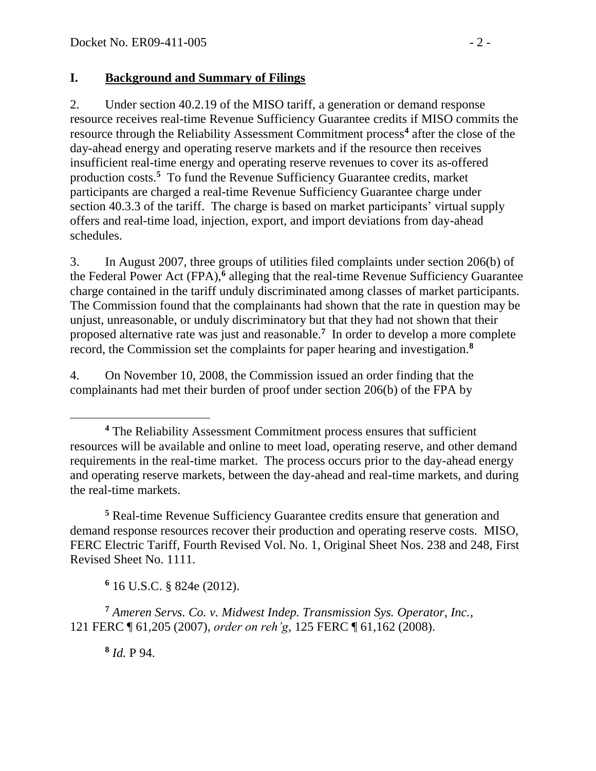### **I. Background and Summary of Filings**

2. Under section 40.2.19 of the MISO tariff, a generation or demand response resource receives real-time Revenue Sufficiency Guarantee credits if MISO commits the resource through the Reliability Assessment Commitment process**<sup>4</sup>** after the close of the day-ahead energy and operating reserve markets and if the resource then receives insufficient real-time energy and operating reserve revenues to cover its as-offered production costs.**<sup>5</sup>** To fund the Revenue Sufficiency Guarantee credits, market participants are charged a real-time Revenue Sufficiency Guarantee charge under section 40.3.3 of the tariff. The charge is based on market participants' virtual supply offers and real-time load, injection, export, and import deviations from day-ahead schedules.

3. In August 2007, three groups of utilities filed complaints under section 206(b) of the Federal Power Act (FPA),**<sup>6</sup>** alleging that the real-time Revenue Sufficiency Guarantee charge contained in the tariff unduly discriminated among classes of market participants. The Commission found that the complainants had shown that the rate in question may be unjust, unreasonable, or unduly discriminatory but that they had not shown that their proposed alternative rate was just and reasonable.**<sup>7</sup>** In order to develop a more complete record, the Commission set the complaints for paper hearing and investigation.**<sup>8</sup>**

4. On November 10, 2008, the Commission issued an order finding that the complainants had met their burden of proof under section 206(b) of the FPA by

**<sup>5</sup>** Real-time Revenue Sufficiency Guarantee credits ensure that generation and demand response resources recover their production and operating reserve costs. MISO, FERC Electric Tariff, Fourth Revised Vol. No. 1, Original Sheet Nos. 238 and 248, First Revised Sheet No. 1111.

**<sup>6</sup>** 16 U.S.C. § 824e (2012).

**<sup>7</sup>** *Ameren Servs. Co. v. Midwest Indep. Transmission Sys. Operator, Inc.*, 121 FERC ¶ 61,205 (2007), *order on reh'g*, 125 FERC ¶ 61,162 (2008).

**8** *Id.* P 94.

 $\overline{a}$ 

**<sup>4</sup>** The Reliability Assessment Commitment process ensures that sufficient resources will be available and online to meet load, operating reserve, and other demand requirements in the real-time market. The process occurs prior to the day-ahead energy and operating reserve markets, between the day-ahead and real-time markets, and during the real-time markets.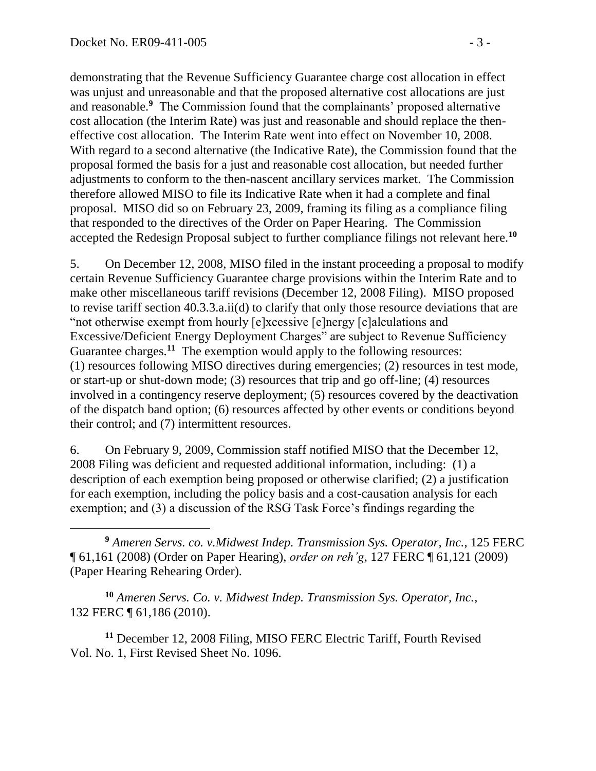demonstrating that the Revenue Sufficiency Guarantee charge cost allocation in effect was unjust and unreasonable and that the proposed alternative cost allocations are just and reasonable.**<sup>9</sup>** The Commission found that the complainants' proposed alternative cost allocation (the Interim Rate) was just and reasonable and should replace the theneffective cost allocation. The Interim Rate went into effect on November 10, 2008. With regard to a second alternative (the Indicative Rate), the Commission found that the proposal formed the basis for a just and reasonable cost allocation, but needed further adjustments to conform to the then-nascent ancillary services market. The Commission therefore allowed MISO to file its Indicative Rate when it had a complete and final proposal. MISO did so on February 23, 2009, framing its filing as a compliance filing that responded to the directives of the Order on Paper Hearing. The Commission accepted the Redesign Proposal subject to further compliance filings not relevant here.**<sup>10</sup>**

5. On December 12, 2008, MISO filed in the instant proceeding a proposal to modify certain Revenue Sufficiency Guarantee charge provisions within the Interim Rate and to make other miscellaneous tariff revisions (December 12, 2008 Filing). MISO proposed to revise tariff section 40.3.3.a.ii(d) to clarify that only those resource deviations that are "not otherwise exempt from hourly [e]xcessive [e]nergy [c]alculations and Excessive/Deficient Energy Deployment Charges" are subject to Revenue Sufficiency Guarantee charges.<sup>11</sup> The exemption would apply to the following resources: (1) resources following MISO directives during emergencies; (2) resources in test mode, or start-up or shut-down mode; (3) resources that trip and go off-line; (4) resources involved in a contingency reserve deployment; (5) resources covered by the deactivation of the dispatch band option; (6) resources affected by other events or conditions beyond their control; and (7) intermittent resources.

6. On February 9, 2009, Commission staff notified MISO that the December 12, 2008 Filing was deficient and requested additional information, including: (1) a description of each exemption being proposed or otherwise clarified; (2) a justification for each exemption, including the policy basis and a cost-causation analysis for each exemption; and (3) a discussion of the RSG Task Force's findings regarding the

 $\overline{a}$ **<sup>9</sup>** *Ameren Servs. co. v.Midwest Indep. Transmission Sys. Operator, Inc.*, 125 FERC ¶ 61,161 (2008) (Order on Paper Hearing), *order on reh'g*, 127 FERC ¶ 61,121 (2009) (Paper Hearing Rehearing Order).

**<sup>10</sup>** *Ameren Servs. Co. v. Midwest Indep. Transmission Sys. Operator, Inc.*, 132 FERC ¶ 61,186 (2010).

**<sup>11</sup>** December 12, 2008 Filing, MISO FERC Electric Tariff, Fourth Revised Vol. No. 1, First Revised Sheet No. 1096.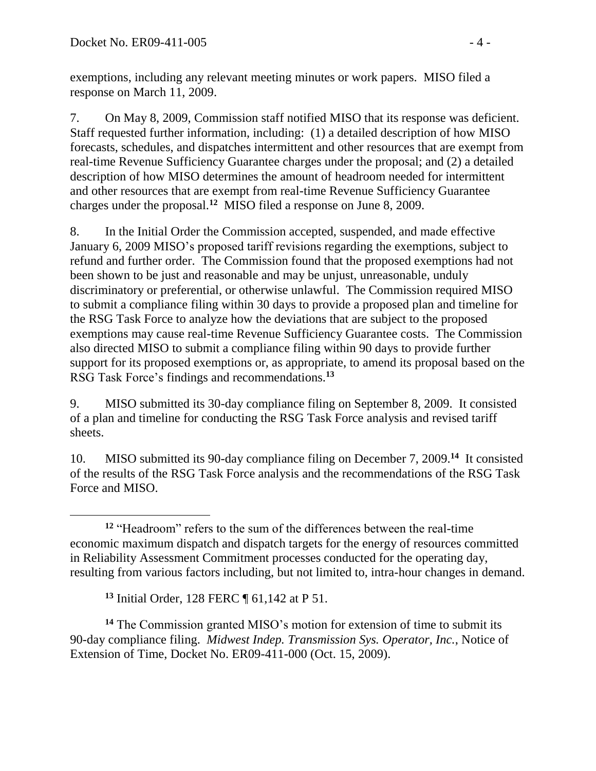exemptions, including any relevant meeting minutes or work papers. MISO filed a response on March 11, 2009.

7. On May 8, 2009, Commission staff notified MISO that its response was deficient. Staff requested further information, including: (1) a detailed description of how MISO forecasts, schedules, and dispatches intermittent and other resources that are exempt from real-time Revenue Sufficiency Guarantee charges under the proposal; and (2) a detailed description of how MISO determines the amount of headroom needed for intermittent and other resources that are exempt from real-time Revenue Sufficiency Guarantee charges under the proposal.**<sup>12</sup>** MISO filed a response on June 8, 2009.

8. In the Initial Order the Commission accepted, suspended, and made effective January 6, 2009 MISO's proposed tariff revisions regarding the exemptions, subject to refund and further order. The Commission found that the proposed exemptions had not been shown to be just and reasonable and may be unjust, unreasonable, unduly discriminatory or preferential, or otherwise unlawful. The Commission required MISO to submit a compliance filing within 30 days to provide a proposed plan and timeline for the RSG Task Force to analyze how the deviations that are subject to the proposed exemptions may cause real-time Revenue Sufficiency Guarantee costs. The Commission also directed MISO to submit a compliance filing within 90 days to provide further support for its proposed exemptions or, as appropriate, to amend its proposal based on the RSG Task Force's findings and recommendations.**<sup>13</sup>**

9. MISO submitted its 30-day compliance filing on September 8, 2009. It consisted of a plan and timeline for conducting the RSG Task Force analysis and revised tariff sheets.

10. MISO submitted its 90-day compliance filing on December 7, 2009.**<sup>14</sup>** It consisted of the results of the RSG Task Force analysis and the recommendations of the RSG Task Force and MISO.

**<sup>13</sup>** Initial Order, 128 FERC ¶ 61,142 at P 51.

**<sup>14</sup>** The Commission granted MISO's motion for extension of time to submit its 90-day compliance filing. *Midwest Indep. Transmission Sys. Operator, Inc.*, Notice of Extension of Time, Docket No. ER09-411-000 (Oct. 15, 2009).

 $\overline{a}$ **<sup>12</sup>** "Headroom" refers to the sum of the differences between the real-time economic maximum dispatch and dispatch targets for the energy of resources committed in Reliability Assessment Commitment processes conducted for the operating day, resulting from various factors including, but not limited to, intra-hour changes in demand.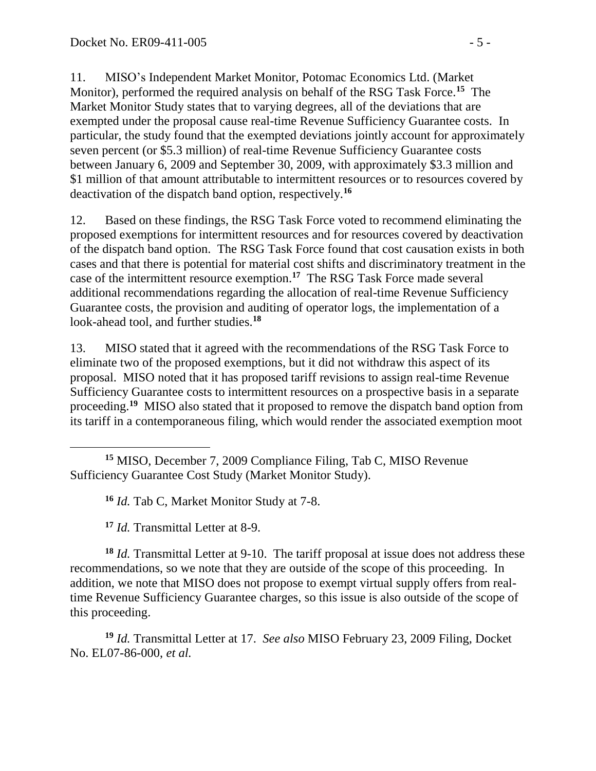11. MISO's Independent Market Monitor, Potomac Economics Ltd. (Market Monitor), performed the required analysis on behalf of the RSG Task Force.**<sup>15</sup>** The Market Monitor Study states that to varying degrees, all of the deviations that are exempted under the proposal cause real-time Revenue Sufficiency Guarantee costs. In particular, the study found that the exempted deviations jointly account for approximately seven percent (or \$5.3 million) of real-time Revenue Sufficiency Guarantee costs between January 6, 2009 and September 30, 2009, with approximately \$3.3 million and \$1 million of that amount attributable to intermittent resources or to resources covered by deactivation of the dispatch band option, respectively.**<sup>16</sup>**

12. Based on these findings, the RSG Task Force voted to recommend eliminating the proposed exemptions for intermittent resources and for resources covered by deactivation of the dispatch band option. The RSG Task Force found that cost causation exists in both cases and that there is potential for material cost shifts and discriminatory treatment in the case of the intermittent resource exemption.**<sup>17</sup>** The RSG Task Force made several additional recommendations regarding the allocation of real-time Revenue Sufficiency Guarantee costs, the provision and auditing of operator logs, the implementation of a look-ahead tool, and further studies.**<sup>18</sup>**

13. MISO stated that it agreed with the recommendations of the RSG Task Force to eliminate two of the proposed exemptions, but it did not withdraw this aspect of its proposal. MISO noted that it has proposed tariff revisions to assign real-time Revenue Sufficiency Guarantee costs to intermittent resources on a prospective basis in a separate proceeding.**<sup>19</sup>** MISO also stated that it proposed to remove the dispatch band option from its tariff in a contemporaneous filing, which would render the associated exemption moot

**<sup>17</sup>** *Id.* Transmittal Letter at 8-9.

**<sup>18</sup>** *Id.* Transmittal Letter at 9-10. The tariff proposal at issue does not address these recommendations, so we note that they are outside of the scope of this proceeding. In addition, we note that MISO does not propose to exempt virtual supply offers from realtime Revenue Sufficiency Guarantee charges, so this issue is also outside of the scope of this proceeding.

**<sup>19</sup>** *Id.* Transmittal Letter at 17. *See also* MISO February 23, 2009 Filing, Docket No. EL07-86-000, *et al.*

 **<sup>15</sup>** MISO, December 7, 2009 Compliance Filing, Tab C, MISO Revenue Sufficiency Guarantee Cost Study (Market Monitor Study).

**<sup>16</sup>** *Id.* Tab C, Market Monitor Study at 7-8.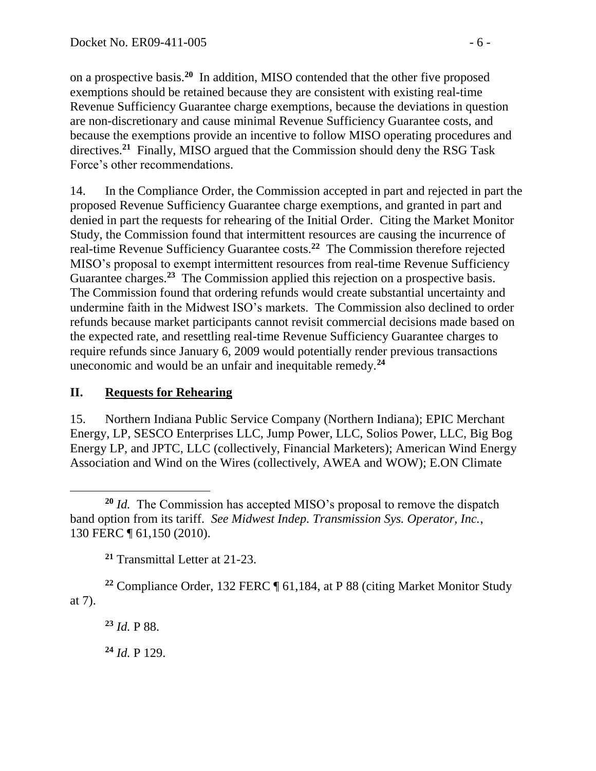on a prospective basis. **20** In addition, MISO contended that the other five proposed exemptions should be retained because they are consistent with existing real-time Revenue Sufficiency Guarantee charge exemptions, because the deviations in question are non-discretionary and cause minimal Revenue Sufficiency Guarantee costs, and because the exemptions provide an incentive to follow MISO operating procedures and directives.<sup>21</sup> Finally, MISO argued that the Commission should deny the RSG Task Force's other recommendations.

14. In the Compliance Order, the Commission accepted in part and rejected in part the proposed Revenue Sufficiency Guarantee charge exemptions, and granted in part and denied in part the requests for rehearing of the Initial Order. Citing the Market Monitor Study, the Commission found that intermittent resources are causing the incurrence of real-time Revenue Sufficiency Guarantee costs.**<sup>22</sup>** The Commission therefore rejected MISO's proposal to exempt intermittent resources from real-time Revenue Sufficiency Guarantee charges.<sup>23</sup> The Commission applied this rejection on a prospective basis. The Commission found that ordering refunds would create substantial uncertainty and undermine faith in the Midwest ISO's markets. The Commission also declined to order refunds because market participants cannot revisit commercial decisions made based on the expected rate, and resettling real-time Revenue Sufficiency Guarantee charges to require refunds since January 6, 2009 would potentially render previous transactions uneconomic and would be an unfair and inequitable remedy.**<sup>24</sup>**

# **II. Requests for Rehearing**

15. Northern Indiana Public Service Company (Northern Indiana); EPIC Merchant Energy, LP, SESCO Enterprises LLC, Jump Power, LLC, Solios Power, LLC, Big Bog Energy LP, and JPTC, LLC (collectively, Financial Marketers); American Wind Energy Association and Wind on the Wires (collectively, AWEA and WOW); E.ON Climate

**<sup>21</sup>** Transmittal Letter at 21-23.

**<sup>22</sup>** Compliance Order, 132 FERC ¶ 61,184, at P 88 (citing Market Monitor Study at 7).

**<sup>23</sup>** *Id.* P 88.

**<sup>24</sup>** *Id.* P 129.

 $\overline{a}$ **<sup>20</sup>** *Id.* The Commission has accepted MISO's proposal to remove the dispatch band option from its tariff. *See Midwest Indep. Transmission Sys. Operator, Inc.*, 130 FERC ¶ 61,150 (2010).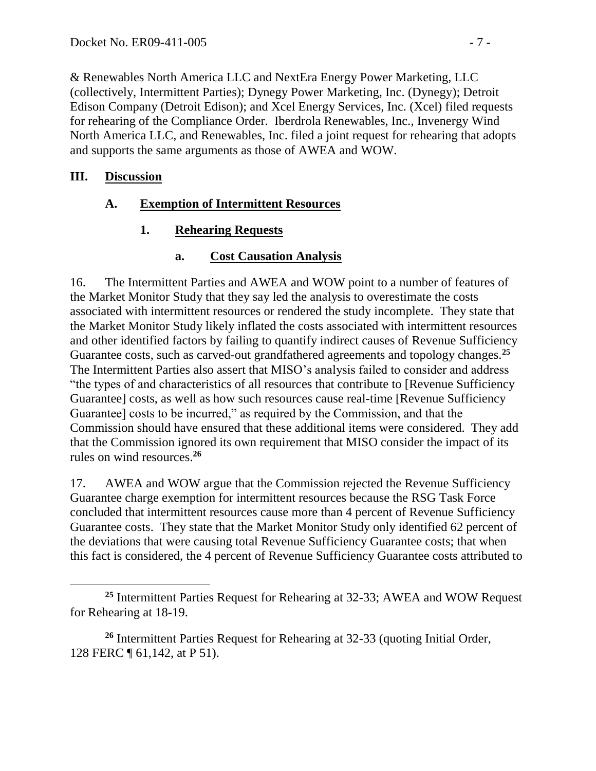& Renewables North America LLC and NextEra Energy Power Marketing, LLC (collectively, Intermittent Parties); Dynegy Power Marketing, Inc. (Dynegy); Detroit Edison Company (Detroit Edison); and Xcel Energy Services, Inc. (Xcel) filed requests for rehearing of the Compliance Order. Iberdrola Renewables, Inc., Invenergy Wind North America LLC, and Renewables, Inc. filed a joint request for rehearing that adopts and supports the same arguments as those of AWEA and WOW.

### **III. Discussion**

# **A. Exemption of Intermittent Resources**

# **1. Rehearing Requests**

# **a. Cost Causation Analysis**

16. The Intermittent Parties and AWEA and WOW point to a number of features of the Market Monitor Study that they say led the analysis to overestimate the costs associated with intermittent resources or rendered the study incomplete. They state that the Market Monitor Study likely inflated the costs associated with intermittent resources and other identified factors by failing to quantify indirect causes of Revenue Sufficiency Guarantee costs, such as carved-out grandfathered agreements and topology changes.**<sup>25</sup>** The Intermittent Parties also assert that MISO's analysis failed to consider and address "the types of and characteristics of all resources that contribute to [Revenue Sufficiency Guarantee] costs, as well as how such resources cause real-time [Revenue Sufficiency Guarantee] costs to be incurred," as required by the Commission, and that the Commission should have ensured that these additional items were considered. They add that the Commission ignored its own requirement that MISO consider the impact of its rules on wind resources.**<sup>26</sup>**

17. AWEA and WOW argue that the Commission rejected the Revenue Sufficiency Guarantee charge exemption for intermittent resources because the RSG Task Force concluded that intermittent resources cause more than 4 percent of Revenue Sufficiency Guarantee costs. They state that the Market Monitor Study only identified 62 percent of the deviations that were causing total Revenue Sufficiency Guarantee costs; that when this fact is considered, the 4 percent of Revenue Sufficiency Guarantee costs attributed to

 **<sup>25</sup>** Intermittent Parties Request for Rehearing at 32-33; AWEA and WOW Request for Rehearing at 18-19.

**<sup>26</sup>** Intermittent Parties Request for Rehearing at 32-33 (quoting Initial Order, 128 FERC ¶ 61,142, at P 51).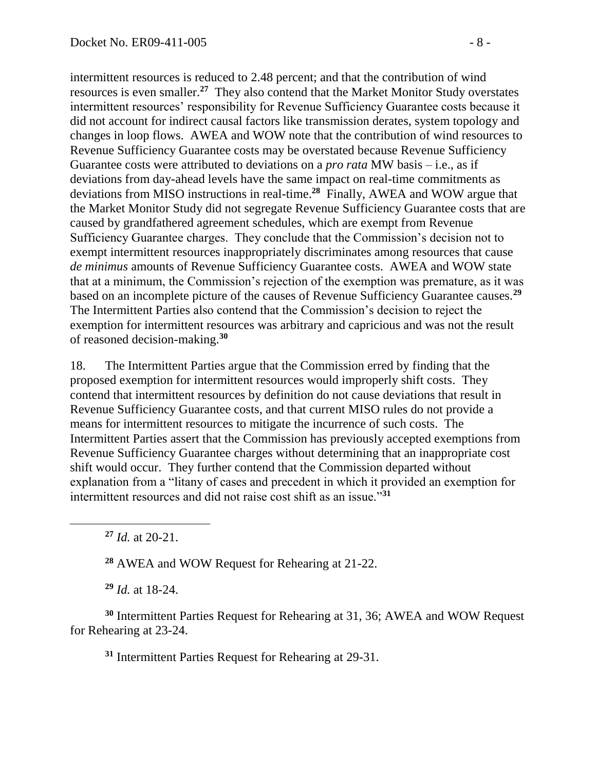intermittent resources is reduced to 2.48 percent; and that the contribution of wind resources is even smaller.**<sup>27</sup>** They also contend that the Market Monitor Study overstates intermittent resources' responsibility for Revenue Sufficiency Guarantee costs because it did not account for indirect causal factors like transmission derates, system topology and changes in loop flows. AWEA and WOW note that the contribution of wind resources to Revenue Sufficiency Guarantee costs may be overstated because Revenue Sufficiency Guarantee costs were attributed to deviations on a *pro rata* MW basis – i.e., as if deviations from day-ahead levels have the same impact on real-time commitments as deviations from MISO instructions in real-time.**<sup>28</sup>** Finally, AWEA and WOW argue that the Market Monitor Study did not segregate Revenue Sufficiency Guarantee costs that are caused by grandfathered agreement schedules, which are exempt from Revenue Sufficiency Guarantee charges. They conclude that the Commission's decision not to exempt intermittent resources inappropriately discriminates among resources that cause *de minimus* amounts of Revenue Sufficiency Guarantee costs. AWEA and WOW state that at a minimum, the Commission's rejection of the exemption was premature, as it was based on an incomplete picture of the causes of Revenue Sufficiency Guarantee causes.**<sup>29</sup>** The Intermittent Parties also contend that the Commission's decision to reject the exemption for intermittent resources was arbitrary and capricious and was not the result of reasoned decision-making.**<sup>30</sup>**

18. The Intermittent Parties argue that the Commission erred by finding that the proposed exemption for intermittent resources would improperly shift costs. They contend that intermittent resources by definition do not cause deviations that result in Revenue Sufficiency Guarantee costs, and that current MISO rules do not provide a means for intermittent resources to mitigate the incurrence of such costs. The Intermittent Parties assert that the Commission has previously accepted exemptions from Revenue Sufficiency Guarantee charges without determining that an inappropriate cost shift would occur. They further contend that the Commission departed without explanation from a "litany of cases and precedent in which it provided an exemption for intermittent resources and did not raise cost shift as an issue."**<sup>31</sup>**

**<sup>27</sup>** *Id.* at 20-21.

 $\overline{a}$ 

**<sup>28</sup>** AWEA and WOW Request for Rehearing at 21-22.

**<sup>29</sup>** *Id.* at 18-24.

**<sup>30</sup>** Intermittent Parties Request for Rehearing at 31, 36; AWEA and WOW Request for Rehearing at 23-24.

**<sup>31</sup>** Intermittent Parties Request for Rehearing at 29-31.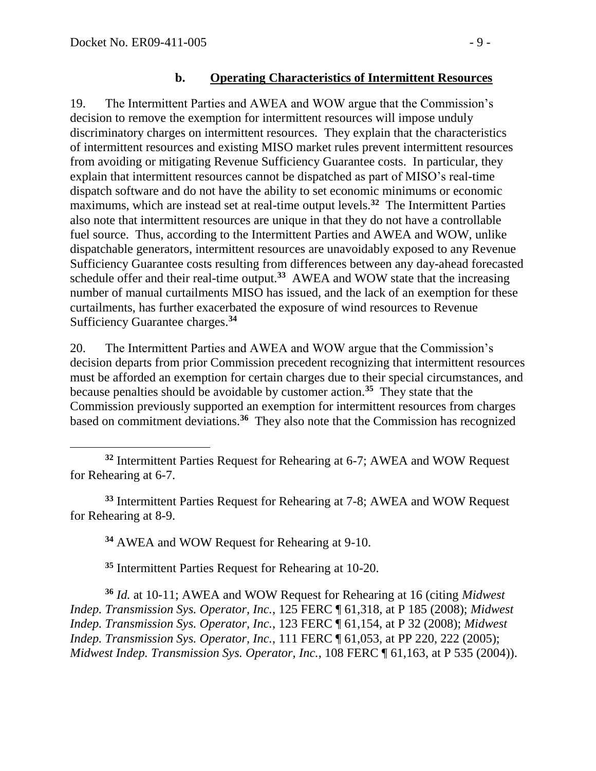#### **b. Operating Characteristics of Intermittent Resources**

19. The Intermittent Parties and AWEA and WOW argue that the Commission's decision to remove the exemption for intermittent resources will impose unduly discriminatory charges on intermittent resources. They explain that the characteristics of intermittent resources and existing MISO market rules prevent intermittent resources from avoiding or mitigating Revenue Sufficiency Guarantee costs. In particular, they explain that intermittent resources cannot be dispatched as part of MISO's real-time dispatch software and do not have the ability to set economic minimums or economic maximums, which are instead set at real-time output levels.**<sup>32</sup>** The Intermittent Parties also note that intermittent resources are unique in that they do not have a controllable fuel source. Thus, according to the Intermittent Parties and AWEA and WOW, unlike dispatchable generators, intermittent resources are unavoidably exposed to any Revenue Sufficiency Guarantee costs resulting from differences between any day-ahead forecasted schedule offer and their real-time output.**<sup>33</sup>** AWEA and WOW state that the increasing number of manual curtailments MISO has issued, and the lack of an exemption for these curtailments, has further exacerbated the exposure of wind resources to Revenue Sufficiency Guarantee charges.**<sup>34</sup>**

20. The Intermittent Parties and AWEA and WOW argue that the Commission's decision departs from prior Commission precedent recognizing that intermittent resources must be afforded an exemption for certain charges due to their special circumstances, and because penalties should be avoidable by customer action.**<sup>35</sup>** They state that the Commission previously supported an exemption for intermittent resources from charges based on commitment deviations.**<sup>36</sup>** They also note that the Commission has recognized

**<sup>33</sup>** Intermittent Parties Request for Rehearing at 7-8; AWEA and WOW Request for Rehearing at 8-9.

**<sup>34</sup>** AWEA and WOW Request for Rehearing at 9-10.

**<sup>35</sup>** Intermittent Parties Request for Rehearing at 10-20.

**<sup>36</sup>** *Id.* at 10-11; AWEA and WOW Request for Rehearing at 16 (citing *Midwest Indep. Transmission Sys. Operator, Inc.*, 125 FERC ¶ 61,318, at P 185 (2008); *Midwest Indep. Transmission Sys. Operator, Inc.*, 123 FERC ¶ 61,154, at P 32 (2008); *Midwest Indep. Transmission Sys. Operator, Inc.*, 111 FERC ¶ 61,053, at PP 220, 222 (2005); *Midwest Indep. Transmission Sys. Operator, Inc.*, 108 FERC ¶ 61,163, at P 535 (2004)).

**<sup>32</sup>** Intermittent Parties Request for Rehearing at 6-7; AWEA and WOW Request for Rehearing at 6-7.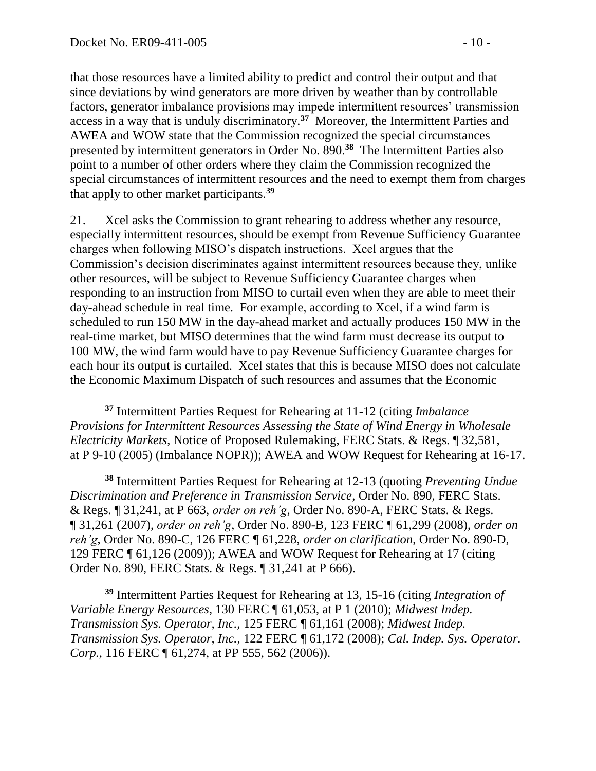$\overline{a}$ 

that those resources have a limited ability to predict and control their output and that since deviations by wind generators are more driven by weather than by controllable factors, generator imbalance provisions may impede intermittent resources' transmission access in a way that is unduly discriminatory.**<sup>37</sup>** Moreover, the Intermittent Parties and AWEA and WOW state that the Commission recognized the special circumstances presented by intermittent generators in Order No. 890.**<sup>38</sup>** The Intermittent Parties also point to a number of other orders where they claim the Commission recognized the special circumstances of intermittent resources and the need to exempt them from charges that apply to other market participants.**<sup>39</sup>**

21. Xcel asks the Commission to grant rehearing to address whether any resource, especially intermittent resources, should be exempt from Revenue Sufficiency Guarantee charges when following MISO's dispatch instructions. Xcel argues that the Commission's decision discriminates against intermittent resources because they, unlike other resources, will be subject to Revenue Sufficiency Guarantee charges when responding to an instruction from MISO to curtail even when they are able to meet their day-ahead schedule in real time. For example, according to Xcel, if a wind farm is scheduled to run 150 MW in the day-ahead market and actually produces 150 MW in the real-time market, but MISO determines that the wind farm must decrease its output to 100 MW, the wind farm would have to pay Revenue Sufficiency Guarantee charges for each hour its output is curtailed. Xcel states that this is because MISO does not calculate the Economic Maximum Dispatch of such resources and assumes that the Economic

**<sup>37</sup>** Intermittent Parties Request for Rehearing at 11-12 (citing *Imbalance Provisions for Intermittent Resources Assessing the State of Wind Energy in Wholesale Electricity Markets*, Notice of Proposed Rulemaking, FERC Stats. & Regs. ¶ 32,581, at P 9-10 (2005) (Imbalance NOPR)); AWEA and WOW Request for Rehearing at 16-17.

**<sup>38</sup>** Intermittent Parties Request for Rehearing at 12-13 (quoting *Preventing Undue Discrimination and Preference in Transmission Service*, Order No. 890, FERC Stats. & Regs. ¶ 31,241, at P 663, *order on reh'g*, Order No. 890-A, FERC Stats. & Regs. ¶ 31,261 (2007), *order on reh'g*, Order No. 890-B, 123 FERC ¶ 61,299 (2008), *order on reh'g*, Order No. 890-C, 126 FERC ¶ 61,228, *order on clarification*, Order No. 890-D, 129 FERC ¶ 61,126 (2009)); AWEA and WOW Request for Rehearing at 17 (citing Order No. 890, FERC Stats. & Regs. ¶ 31,241 at P 666).

**<sup>39</sup>** Intermittent Parties Request for Rehearing at 13, 15-16 (citing *Integration of Variable Energy Resources*, 130 FERC ¶ 61,053, at P 1 (2010); *Midwest Indep. Transmission Sys. Operator, Inc.,* 125 FERC ¶ 61,161 (2008); *Midwest Indep. Transmission Sys. Operator, Inc.*, 122 FERC ¶ 61,172 (2008); *Cal. Indep. Sys. Operator. Corp.*, 116 FERC ¶ 61,274, at PP 555, 562 (2006)).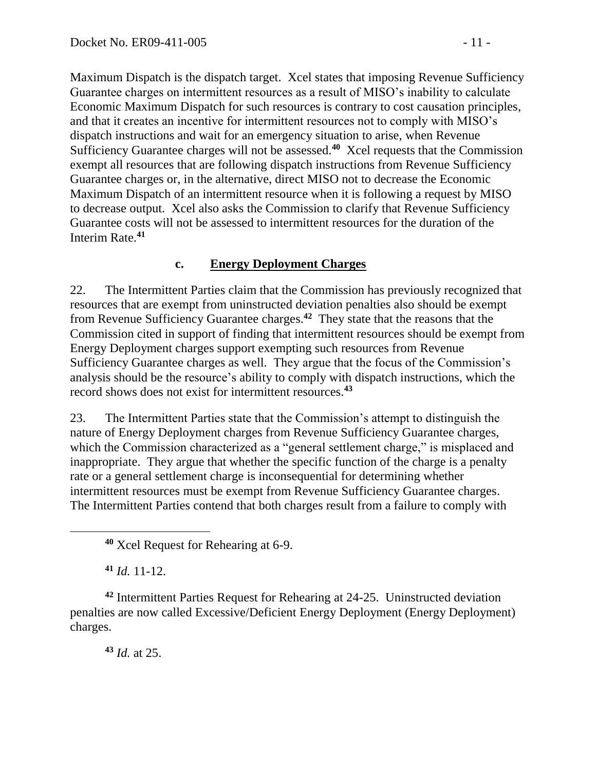Maximum Dispatch is the dispatch target. Xcel states that imposing Revenue Sufficiency Guarantee charges on intermittent resources as a result of MISO's inability to calculate Economic Maximum Dispatch for such resources is contrary to cost causation principles, and that it creates an incentive for intermittent resources not to comply with MISO's dispatch instructions and wait for an emergency situation to arise, when Revenue Sufficiency Guarantee charges will not be assessed.**<sup>40</sup>** Xcel requests that the Commission exempt all resources that are following dispatch instructions from Revenue Sufficiency Guarantee charges or, in the alternative, direct MISO not to decrease the Economic Maximum Dispatch of an intermittent resource when it is following a request by MISO to decrease output. Xcel also asks the Commission to clarify that Revenue Sufficiency Guarantee costs will not be assessed to intermittent resources for the duration of the Interim Rate.**<sup>41</sup>**

### **c. Energy Deployment Charges**

22. The Intermittent Parties claim that the Commission has previously recognized that resources that are exempt from uninstructed deviation penalties also should be exempt from Revenue Sufficiency Guarantee charges.**<sup>42</sup>** They state that the reasons that the Commission cited in support of finding that intermittent resources should be exempt from Energy Deployment charges support exempting such resources from Revenue Sufficiency Guarantee charges as well. They argue that the focus of the Commission's analysis should be the resource's ability to comply with dispatch instructions, which the record shows does not exist for intermittent resources.**<sup>43</sup>**

23. The Intermittent Parties state that the Commission's attempt to distinguish the nature of Energy Deployment charges from Revenue Sufficiency Guarantee charges, which the Commission characterized as a "general settlement charge," is misplaced and inappropriate. They argue that whether the specific function of the charge is a penalty rate or a general settlement charge is inconsequential for determining whether intermittent resources must be exempt from Revenue Sufficiency Guarantee charges. The Intermittent Parties contend that both charges result from a failure to comply with

**<sup>41</sup>** *Id.* 11-12.

 $\overline{a}$ 

**<sup>42</sup>** Intermittent Parties Request for Rehearing at 24-25. Uninstructed deviation penalties are now called Excessive/Deficient Energy Deployment (Energy Deployment) charges.

**<sup>43</sup>** *Id.* at 25.

**<sup>40</sup>** Xcel Request for Rehearing at 6-9.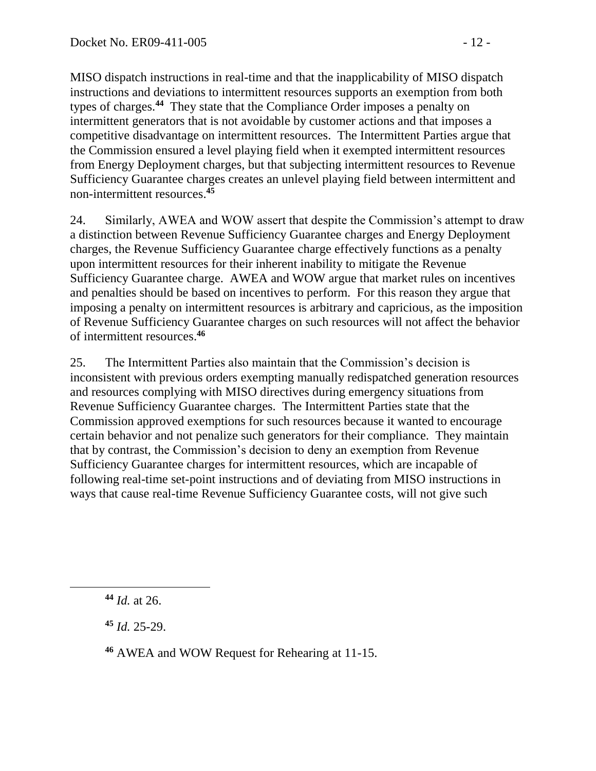MISO dispatch instructions in real-time and that the inapplicability of MISO dispatch instructions and deviations to intermittent resources supports an exemption from both types of charges.**<sup>44</sup>** They state that the Compliance Order imposes a penalty on intermittent generators that is not avoidable by customer actions and that imposes a competitive disadvantage on intermittent resources. The Intermittent Parties argue that the Commission ensured a level playing field when it exempted intermittent resources from Energy Deployment charges, but that subjecting intermittent resources to Revenue Sufficiency Guarantee charges creates an unlevel playing field between intermittent and non-intermittent resources. **45**

24. Similarly, AWEA and WOW assert that despite the Commission's attempt to draw a distinction between Revenue Sufficiency Guarantee charges and Energy Deployment charges, the Revenue Sufficiency Guarantee charge effectively functions as a penalty upon intermittent resources for their inherent inability to mitigate the Revenue Sufficiency Guarantee charge. AWEA and WOW argue that market rules on incentives and penalties should be based on incentives to perform. For this reason they argue that imposing a penalty on intermittent resources is arbitrary and capricious, as the imposition of Revenue Sufficiency Guarantee charges on such resources will not affect the behavior of intermittent resources.**<sup>46</sup>**

25. The Intermittent Parties also maintain that the Commission's decision is inconsistent with previous orders exempting manually redispatched generation resources and resources complying with MISO directives during emergency situations from Revenue Sufficiency Guarantee charges. The Intermittent Parties state that the Commission approved exemptions for such resources because it wanted to encourage certain behavior and not penalize such generators for their compliance. They maintain that by contrast, the Commission's decision to deny an exemption from Revenue Sufficiency Guarantee charges for intermittent resources, which are incapable of following real-time set-point instructions and of deviating from MISO instructions in ways that cause real-time Revenue Sufficiency Guarantee costs, will not give such

**<sup>44</sup>** *Id.* at 26.

**<sup>45</sup>** *Id.* 25-29.

**<sup>46</sup>** AWEA and WOW Request for Rehearing at 11-15.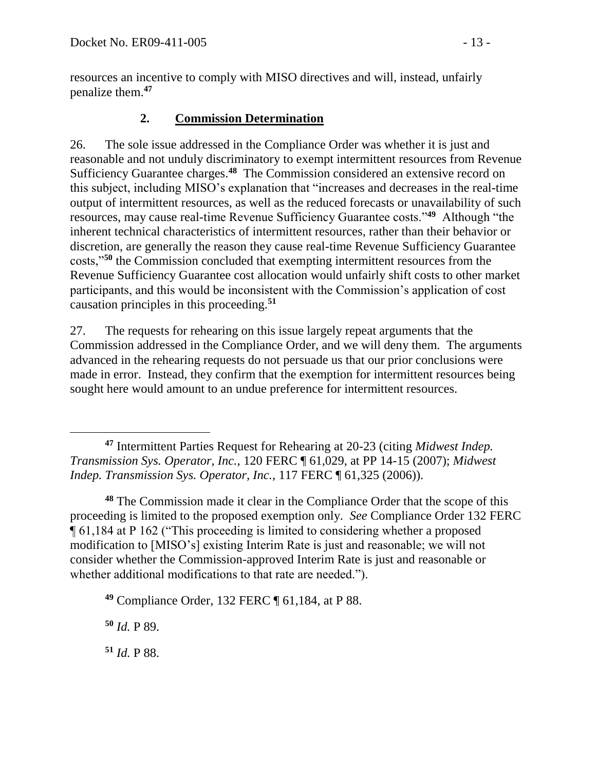resources an incentive to comply with MISO directives and will, instead, unfairly penalize them. **47**

# **2. Commission Determination**

26. The sole issue addressed in the Compliance Order was whether it is just and reasonable and not unduly discriminatory to exempt intermittent resources from Revenue Sufficiency Guarantee charges.**<sup>48</sup>** The Commission considered an extensive record on this subject, including MISO's explanation that "increases and decreases in the real-time output of intermittent resources, as well as the reduced forecasts or unavailability of such resources, may cause real-time Revenue Sufficiency Guarantee costs."**<sup>49</sup>** Although "the inherent technical characteristics of intermittent resources, rather than their behavior or discretion, are generally the reason they cause real-time Revenue Sufficiency Guarantee costs,"**<sup>50</sup>** the Commission concluded that exempting intermittent resources from the Revenue Sufficiency Guarantee cost allocation would unfairly shift costs to other market participants, and this would be inconsistent with the Commission's application of cost causation principles in this proceeding.**<sup>51</sup>**

27. The requests for rehearing on this issue largely repeat arguments that the Commission addressed in the Compliance Order, and we will deny them. The arguments advanced in the rehearing requests do not persuade us that our prior conclusions were made in error. Instead, they confirm that the exemption for intermittent resources being sought here would amount to an undue preference for intermittent resources.

**<sup>48</sup>** The Commission made it clear in the Compliance Order that the scope of this proceeding is limited to the proposed exemption only. *See* Compliance Order 132 FERC ¶ 61,184 at P 162 ("This proceeding is limited to considering whether a proposed modification to [MISO's] existing Interim Rate is just and reasonable; we will not consider whether the Commission-approved Interim Rate is just and reasonable or whether additional modifications to that rate are needed.").

**<sup>49</sup>** Compliance Order, 132 FERC ¶ 61,184, at P 88.

**<sup>50</sup>** *Id.* P 89.

**<sup>51</sup>** *Id.* P 88.

**<sup>47</sup>** Intermittent Parties Request for Rehearing at 20-23 (citing *Midwest Indep. Transmission Sys. Operator, Inc.*, 120 FERC ¶ 61,029, at PP 14-15 (2007); *Midwest Indep. Transmission Sys. Operator, Inc.*, 117 FERC ¶ 61,325 (2006)).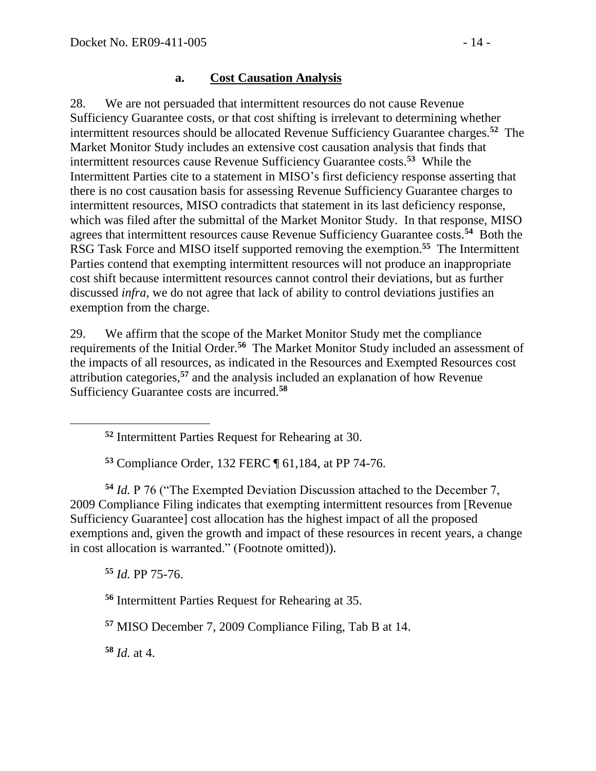#### **a. Cost Causation Analysis**

28. We are not persuaded that intermittent resources do not cause Revenue Sufficiency Guarantee costs, or that cost shifting is irrelevant to determining whether intermittent resources should be allocated Revenue Sufficiency Guarantee charges. **52** The Market Monitor Study includes an extensive cost causation analysis that finds that intermittent resources cause Revenue Sufficiency Guarantee costs.**<sup>53</sup>** While the Intermittent Parties cite to a statement in MISO's first deficiency response asserting that there is no cost causation basis for assessing Revenue Sufficiency Guarantee charges to intermittent resources, MISO contradicts that statement in its last deficiency response, which was filed after the submittal of the Market Monitor Study. In that response, MISO agrees that intermittent resources cause Revenue Sufficiency Guarantee costs.**<sup>54</sup>** Both the RSG Task Force and MISO itself supported removing the exemption.**<sup>55</sup>** The Intermittent Parties contend that exempting intermittent resources will not produce an inappropriate cost shift because intermittent resources cannot control their deviations, but as further discussed *infra*, we do not agree that lack of ability to control deviations justifies an exemption from the charge.

29. We affirm that the scope of the Market Monitor Study met the compliance requirements of the Initial Order.**<sup>56</sup>** The Market Monitor Study included an assessment of the impacts of all resources, as indicated in the Resources and Exempted Resources cost attribution categories,**<sup>57</sup>** and the analysis included an explanation of how Revenue Sufficiency Guarantee costs are incurred.**<sup>58</sup>**

**<sup>52</sup>** Intermittent Parties Request for Rehearing at 30.

**<sup>53</sup>** Compliance Order, 132 FERC ¶ 61,184, at PP 74-76.

**<sup>54</sup>** *Id.* P 76 ("The Exempted Deviation Discussion attached to the December 7, 2009 Compliance Filing indicates that exempting intermittent resources from [Revenue Sufficiency Guarantee] cost allocation has the highest impact of all the proposed exemptions and, given the growth and impact of these resources in recent years, a change in cost allocation is warranted." (Footnote omitted)).

**<sup>55</sup>** *Id.* PP 75-76.

**<sup>56</sup>** Intermittent Parties Request for Rehearing at 35.

**<sup>57</sup>** MISO December 7, 2009 Compliance Filing, Tab B at 14.

**<sup>58</sup>** *Id.* at 4.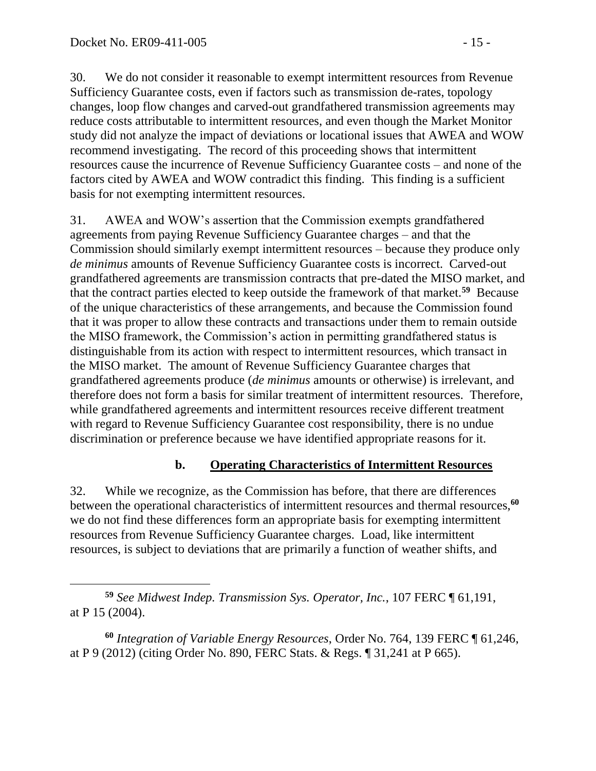30. We do not consider it reasonable to exempt intermittent resources from Revenue Sufficiency Guarantee costs, even if factors such as transmission de-rates, topology changes, loop flow changes and carved-out grandfathered transmission agreements may reduce costs attributable to intermittent resources, and even though the Market Monitor study did not analyze the impact of deviations or locational issues that AWEA and WOW recommend investigating. The record of this proceeding shows that intermittent resources cause the incurrence of Revenue Sufficiency Guarantee costs – and none of the factors cited by AWEA and WOW contradict this finding. This finding is a sufficient basis for not exempting intermittent resources.

31. AWEA and WOW's assertion that the Commission exempts grandfathered agreements from paying Revenue Sufficiency Guarantee charges – and that the Commission should similarly exempt intermittent resources – because they produce only *de minimus* amounts of Revenue Sufficiency Guarantee costs is incorrect. Carved-out grandfathered agreements are transmission contracts that pre-dated the MISO market, and that the contract parties elected to keep outside the framework of that market.**<sup>59</sup>** Because of the unique characteristics of these arrangements, and because the Commission found that it was proper to allow these contracts and transactions under them to remain outside the MISO framework, the Commission's action in permitting grandfathered status is distinguishable from its action with respect to intermittent resources, which transact in the MISO market. The amount of Revenue Sufficiency Guarantee charges that grandfathered agreements produce (*de minimus* amounts or otherwise) is irrelevant, and therefore does not form a basis for similar treatment of intermittent resources. Therefore, while grandfathered agreements and intermittent resources receive different treatment with regard to Revenue Sufficiency Guarantee cost responsibility, there is no undue discrimination or preference because we have identified appropriate reasons for it.

# **b. Operating Characteristics of Intermittent Resources**

32. While we recognize, as the Commission has before, that there are differences between the operational characteristics of intermittent resources and thermal resources,**<sup>60</sup>** we do not find these differences form an appropriate basis for exempting intermittent resources from Revenue Sufficiency Guarantee charges. Load, like intermittent resources, is subject to deviations that are primarily a function of weather shifts, and

 **<sup>59</sup>** *See Midwest Indep. Transmission Sys. Operator, Inc.*, 107 FERC ¶ 61,191, at P 15 (2004).

**<sup>60</sup>** *Integration of Variable Energy Resources*, Order No. 764, 139 FERC ¶ 61,246, at P 9 (2012) (citing Order No. 890, FERC Stats. & Regs. ¶ 31,241 at P 665).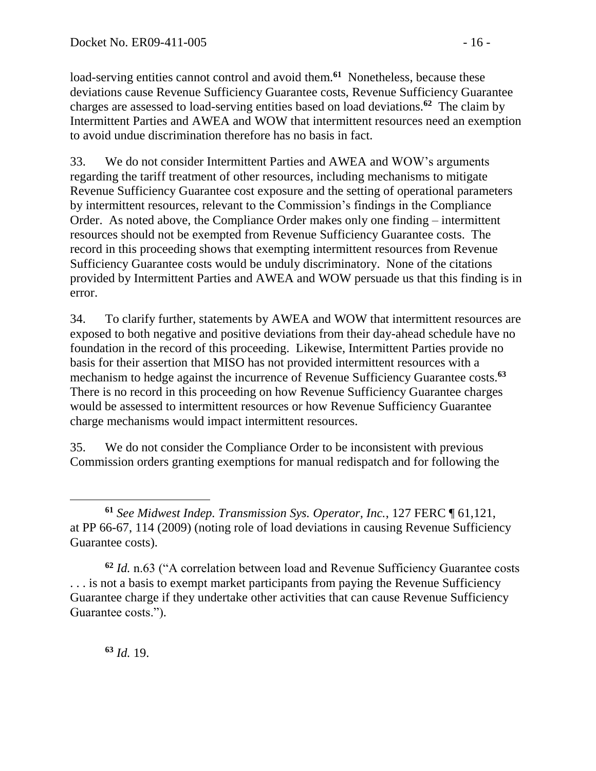load-serving entities cannot control and avoid them.<sup>61</sup> Nonetheless, because these deviations cause Revenue Sufficiency Guarantee costs, Revenue Sufficiency Guarantee charges are assessed to load-serving entities based on load deviations.**<sup>62</sup>** The claim by Intermittent Parties and AWEA and WOW that intermittent resources need an exemption to avoid undue discrimination therefore has no basis in fact.

33. We do not consider Intermittent Parties and AWEA and WOW's arguments regarding the tariff treatment of other resources, including mechanisms to mitigate Revenue Sufficiency Guarantee cost exposure and the setting of operational parameters by intermittent resources, relevant to the Commission's findings in the Compliance Order. As noted above, the Compliance Order makes only one finding – intermittent resources should not be exempted from Revenue Sufficiency Guarantee costs. The record in this proceeding shows that exempting intermittent resources from Revenue Sufficiency Guarantee costs would be unduly discriminatory. None of the citations provided by Intermittent Parties and AWEA and WOW persuade us that this finding is in error.

34. To clarify further, statements by AWEA and WOW that intermittent resources are exposed to both negative and positive deviations from their day-ahead schedule have no foundation in the record of this proceeding. Likewise, Intermittent Parties provide no basis for their assertion that MISO has not provided intermittent resources with a mechanism to hedge against the incurrence of Revenue Sufficiency Guarantee costs.**<sup>63</sup>** There is no record in this proceeding on how Revenue Sufficiency Guarantee charges would be assessed to intermittent resources or how Revenue Sufficiency Guarantee charge mechanisms would impact intermittent resources.

35. We do not consider the Compliance Order to be inconsistent with previous Commission orders granting exemptions for manual redispatch and for following the

**<sup>63</sup>** *Id.* 19.

 $\overline{a}$ 

**<sup>61</sup>** *See Midwest Indep. Transmission Sys. Operator, Inc.*, 127 FERC ¶ 61,121, at PP 66-67, 114 (2009) (noting role of load deviations in causing Revenue Sufficiency Guarantee costs).

**<sup>62</sup>** *Id.* n.63 ("A correlation between load and Revenue Sufficiency Guarantee costs ... is not a basis to exempt market participants from paying the Revenue Sufficiency Guarantee charge if they undertake other activities that can cause Revenue Sufficiency Guarantee costs.").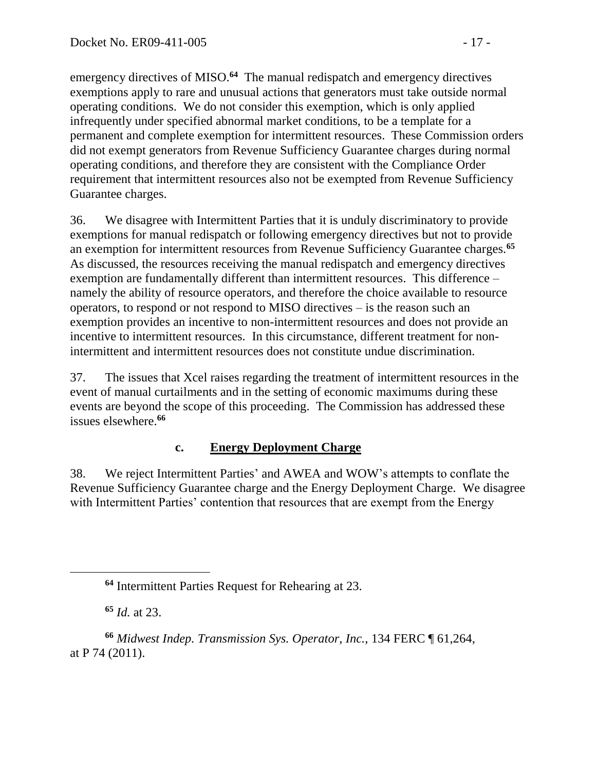emergency directives of MISO.<sup>64</sup> The manual redispatch and emergency directives exemptions apply to rare and unusual actions that generators must take outside normal operating conditions. We do not consider this exemption, which is only applied infrequently under specified abnormal market conditions, to be a template for a permanent and complete exemption for intermittent resources. These Commission orders did not exempt generators from Revenue Sufficiency Guarantee charges during normal operating conditions, and therefore they are consistent with the Compliance Order requirement that intermittent resources also not be exempted from Revenue Sufficiency Guarantee charges.

36. We disagree with Intermittent Parties that it is unduly discriminatory to provide exemptions for manual redispatch or following emergency directives but not to provide an exemption for intermittent resources from Revenue Sufficiency Guarantee charges.**<sup>65</sup>** As discussed, the resources receiving the manual redispatch and emergency directives exemption are fundamentally different than intermittent resources. This difference – namely the ability of resource operators, and therefore the choice available to resource operators, to respond or not respond to MISO directives – is the reason such an exemption provides an incentive to non-intermittent resources and does not provide an incentive to intermittent resources. In this circumstance, different treatment for nonintermittent and intermittent resources does not constitute undue discrimination.

37. The issues that Xcel raises regarding the treatment of intermittent resources in the event of manual curtailments and in the setting of economic maximums during these events are beyond the scope of this proceeding. The Commission has addressed these issues elsewhere.**<sup>66</sup>**

# **c. Energy Deployment Charge**

38. We reject Intermittent Parties' and AWEA and WOW's attempts to conflate the Revenue Sufficiency Guarantee charge and the Energy Deployment Charge. We disagree with Intermittent Parties' contention that resources that are exempt from the Energy

**<sup>65</sup>** *Id.* at 23.

**<sup>64</sup>** Intermittent Parties Request for Rehearing at 23.

**<sup>66</sup>** *Midwest Indep. Transmission Sys. Operator, Inc.,* 134 FERC ¶ 61,264, at P 74 (2011).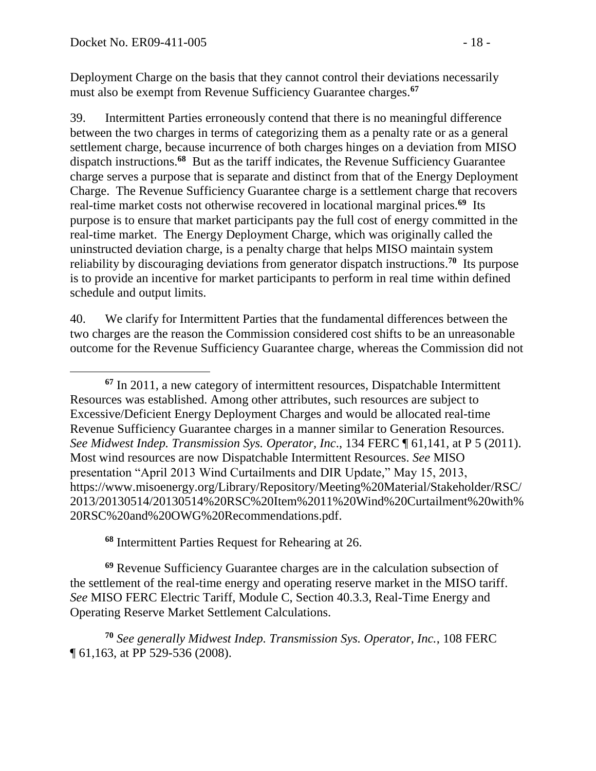Deployment Charge on the basis that they cannot control their deviations necessarily must also be exempt from Revenue Sufficiency Guarantee charges.**<sup>67</sup>**

39. Intermittent Parties erroneously contend that there is no meaningful difference between the two charges in terms of categorizing them as a penalty rate or as a general settlement charge, because incurrence of both charges hinges on a deviation from MISO dispatch instructions.**<sup>68</sup>** But as the tariff indicates, the Revenue Sufficiency Guarantee charge serves a purpose that is separate and distinct from that of the Energy Deployment Charge. The Revenue Sufficiency Guarantee charge is a settlement charge that recovers real-time market costs not otherwise recovered in locational marginal prices.<sup>69</sup> Its purpose is to ensure that market participants pay the full cost of energy committed in the real-time market. The Energy Deployment Charge, which was originally called the uninstructed deviation charge, is a penalty charge that helps MISO maintain system reliability by discouraging deviations from generator dispatch instructions.<sup>70</sup> Its purpose is to provide an incentive for market participants to perform in real time within defined schedule and output limits.

40. We clarify for Intermittent Parties that the fundamental differences between the two charges are the reason the Commission considered cost shifts to be an unreasonable outcome for the Revenue Sufficiency Guarantee charge, whereas the Commission did not

**<sup>68</sup>** Intermittent Parties Request for Rehearing at 26.

**<sup>69</sup>** Revenue Sufficiency Guarantee charges are in the calculation subsection of the settlement of the real-time energy and operating reserve market in the MISO tariff. *See* MISO FERC Electric Tariff, Module C, Section 40.3.3, Real-Time Energy and Operating Reserve Market Settlement Calculations.

**<sup>70</sup>** *See generally Midwest Indep. Transmission Sys. Operator, Inc.*, 108 FERC ¶ 61,163, at PP 529-536 (2008).

**<sup>67</sup>** In 2011, a new category of intermittent resources, Dispatchable Intermittent Resources was established. Among other attributes, such resources are subject to Excessive/Deficient Energy Deployment Charges and would be allocated real-time Revenue Sufficiency Guarantee charges in a manner similar to Generation Resources. *See Midwest Indep. Transmission Sys. Operator, Inc*., 134 FERC ¶ 61,141, at P 5 (2011). Most wind resources are now Dispatchable Intermittent Resources. *See* MISO presentation "April 2013 Wind Curtailments and DIR Update," May 15, 2013, https://www.misoenergy.org/Library/Repository/Meeting%20Material/Stakeholder/RSC/ 2013/20130514/20130514%20RSC%20Item%2011%20Wind%20Curtailment%20with% 20RSC%20and%20OWG%20Recommendations.pdf.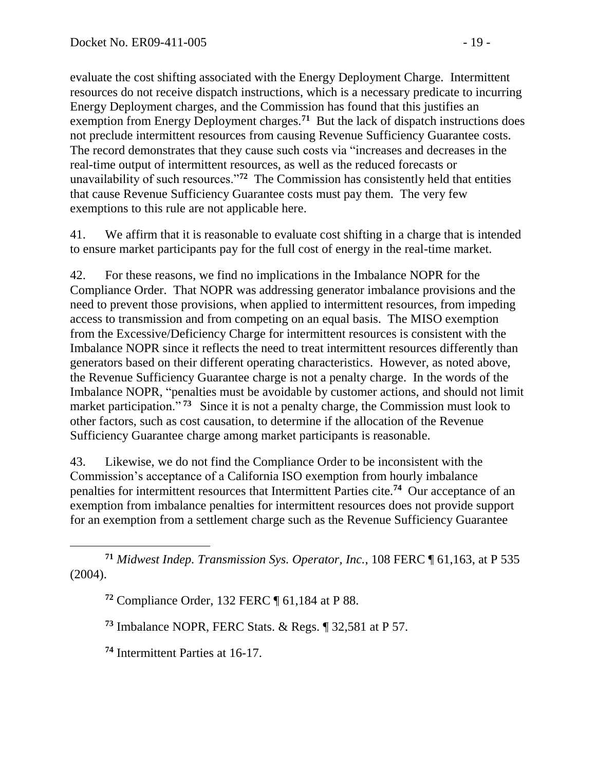evaluate the cost shifting associated with the Energy Deployment Charge. Intermittent resources do not receive dispatch instructions, which is a necessary predicate to incurring Energy Deployment charges, and the Commission has found that this justifies an exemption from Energy Deployment charges.<sup>71</sup> But the lack of dispatch instructions does not preclude intermittent resources from causing Revenue Sufficiency Guarantee costs. The record demonstrates that they cause such costs via "increases and decreases in the real-time output of intermittent resources, as well as the reduced forecasts or unavailability of such resources."**<sup>72</sup>** The Commission has consistently held that entities that cause Revenue Sufficiency Guarantee costs must pay them. The very few exemptions to this rule are not applicable here.

41. We affirm that it is reasonable to evaluate cost shifting in a charge that is intended to ensure market participants pay for the full cost of energy in the real-time market.

42. For these reasons, we find no implications in the Imbalance NOPR for the Compliance Order. That NOPR was addressing generator imbalance provisions and the need to prevent those provisions, when applied to intermittent resources, from impeding access to transmission and from competing on an equal basis. The MISO exemption from the Excessive/Deficiency Charge for intermittent resources is consistent with the Imbalance NOPR since it reflects the need to treat intermittent resources differently than generators based on their different operating characteristics. However, as noted above, the Revenue Sufficiency Guarantee charge is not a penalty charge. In the words of the Imbalance NOPR, "penalties must be avoidable by customer actions, and should not limit market participation."<sup>73</sup> Since it is not a penalty charge, the Commission must look to other factors, such as cost causation, to determine if the allocation of the Revenue Sufficiency Guarantee charge among market participants is reasonable.

43. Likewise, we do not find the Compliance Order to be inconsistent with the Commission's acceptance of a California ISO exemption from hourly imbalance penalties for intermittent resources that Intermittent Parties cite. **74** Our acceptance of an exemption from imbalance penalties for intermittent resources does not provide support for an exemption from a settlement charge such as the Revenue Sufficiency Guarantee

 **<sup>71</sup>** *Midwest Indep. Transmission Sys. Operator, Inc.*, 108 FERC ¶ 61,163, at P 535 (2004).

**<sup>72</sup>** Compliance Order, 132 FERC ¶ 61,184 at P 88.

**<sup>73</sup>** Imbalance NOPR, FERC Stats. & Regs. ¶ 32,581 at P 57.

**<sup>74</sup>** Intermittent Parties at 16-17.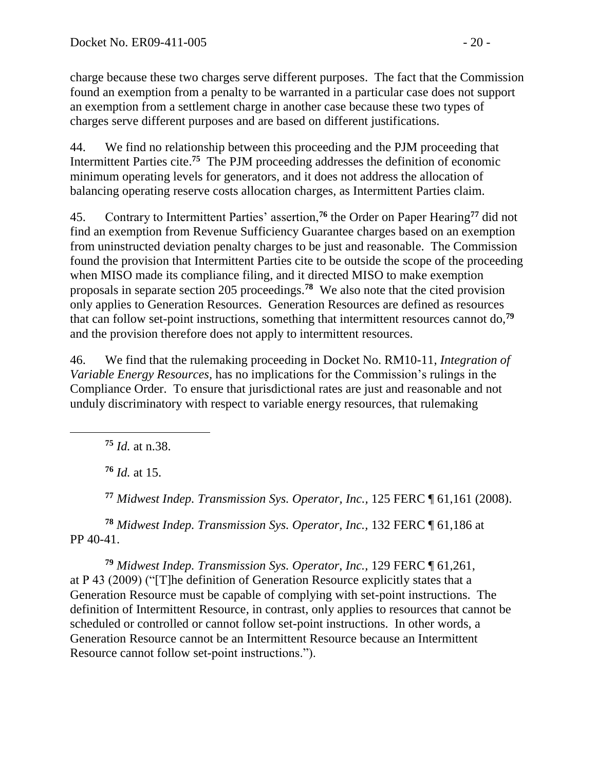charge because these two charges serve different purposes. The fact that the Commission found an exemption from a penalty to be warranted in a particular case does not support an exemption from a settlement charge in another case because these two types of charges serve different purposes and are based on different justifications.

44. We find no relationship between this proceeding and the PJM proceeding that Intermittent Parties cite. **75** The PJM proceeding addresses the definition of economic minimum operating levels for generators, and it does not address the allocation of balancing operating reserve costs allocation charges, as Intermittent Parties claim.

45. Contrary to Intermittent Parties' assertion,**<sup>76</sup>** the Order on Paper Hearing**<sup>77</sup>** did not find an exemption from Revenue Sufficiency Guarantee charges based on an exemption from uninstructed deviation penalty charges to be just and reasonable. The Commission found the provision that Intermittent Parties cite to be outside the scope of the proceeding when MISO made its compliance filing, and it directed MISO to make exemption proposals in separate section 205 proceedings.**<sup>78</sup>** We also note that the cited provision only applies to Generation Resources. Generation Resources are defined as resources that can follow set-point instructions, something that intermittent resources cannot do,**<sup>79</sup>** and the provision therefore does not apply to intermittent resources.

46. We find that the rulemaking proceeding in Docket No. RM10-11, *Integration of Variable Energy Resources,* has no implications for the Commission's rulings in the Compliance Order. To ensure that jurisdictional rates are just and reasonable and not unduly discriminatory with respect to variable energy resources, that rulemaking

**<sup>75</sup>** *Id.* at n.38.

**<sup>76</sup>** *Id.* at 15.

**<sup>77</sup>** *Midwest Indep. Transmission Sys. Operator, Inc.,* 125 FERC ¶ 61,161 (2008).

**<sup>78</sup>** *Midwest Indep. Transmission Sys. Operator, Inc.,* 132 FERC ¶ 61,186 at PP 40-41.

**<sup>79</sup>** *Midwest Indep. Transmission Sys. Operator, Inc.,* 129 FERC ¶ 61,261, at P 43 (2009) ("[T]he definition of Generation Resource explicitly states that a Generation Resource must be capable of complying with set-point instructions. The definition of Intermittent Resource, in contrast, only applies to resources that cannot be scheduled or controlled or cannot follow set-point instructions. In other words, a Generation Resource cannot be an Intermittent Resource because an Intermittent Resource cannot follow set-point instructions.").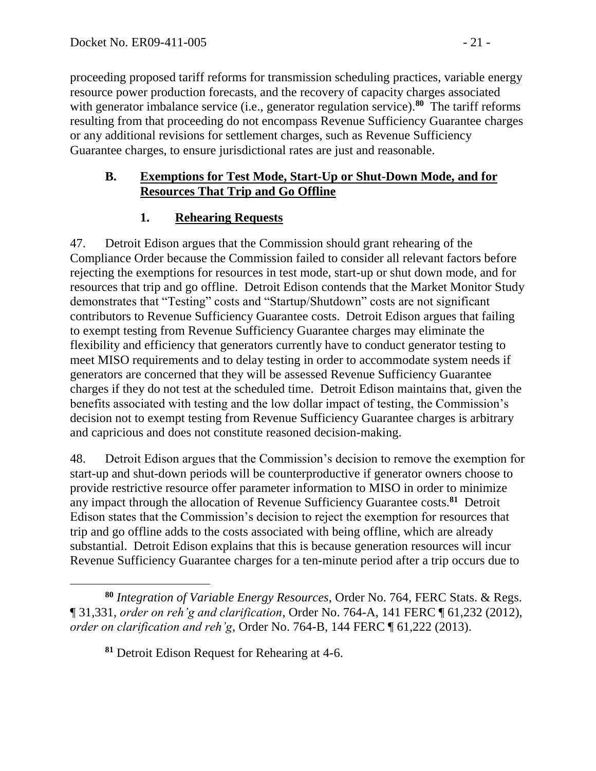proceeding proposed tariff reforms for transmission scheduling practices, variable energy resource power production forecasts, and the recovery of capacity charges associated with generator imbalance service (i.e., generator regulation service).<sup>80</sup> The tariff reforms resulting from that proceeding do not encompass Revenue Sufficiency Guarantee charges or any additional revisions for settlement charges, such as Revenue Sufficiency Guarantee charges, to ensure jurisdictional rates are just and reasonable.

### **B. Exemptions for Test Mode, Start-Up or Shut-Down Mode, and for Resources That Trip and Go Offline**

# **1. Rehearing Requests**

47. Detroit Edison argues that the Commission should grant rehearing of the Compliance Order because the Commission failed to consider all relevant factors before rejecting the exemptions for resources in test mode, start-up or shut down mode, and for resources that trip and go offline. Detroit Edison contends that the Market Monitor Study demonstrates that "Testing" costs and "Startup/Shutdown" costs are not significant contributors to Revenue Sufficiency Guarantee costs. Detroit Edison argues that failing to exempt testing from Revenue Sufficiency Guarantee charges may eliminate the flexibility and efficiency that generators currently have to conduct generator testing to meet MISO requirements and to delay testing in order to accommodate system needs if generators are concerned that they will be assessed Revenue Sufficiency Guarantee charges if they do not test at the scheduled time. Detroit Edison maintains that, given the benefits associated with testing and the low dollar impact of testing, the Commission's decision not to exempt testing from Revenue Sufficiency Guarantee charges is arbitrary and capricious and does not constitute reasoned decision-making.

48. Detroit Edison argues that the Commission's decision to remove the exemption for start-up and shut-down periods will be counterproductive if generator owners choose to provide restrictive resource offer parameter information to MISO in order to minimize any impact through the allocation of Revenue Sufficiency Guarantee costs.**<sup>81</sup>** Detroit Edison states that the Commission's decision to reject the exemption for resources that trip and go offline adds to the costs associated with being offline, which are already substantial. Detroit Edison explains that this is because generation resources will incur Revenue Sufficiency Guarantee charges for a ten-minute period after a trip occurs due to

**<sup>80</sup>** *Integration of Variable Energy Resources*, Order No. 764, FERC Stats. & Regs. ¶ 31,331, *order on reh'g and clarification*, Order No. 764-A, 141 FERC ¶ 61,232 (2012), *order on clarification and reh'g*, Order No. 764-B, 144 FERC ¶ 61,222 (2013).

**<sup>81</sup>** Detroit Edison Request for Rehearing at 4-6.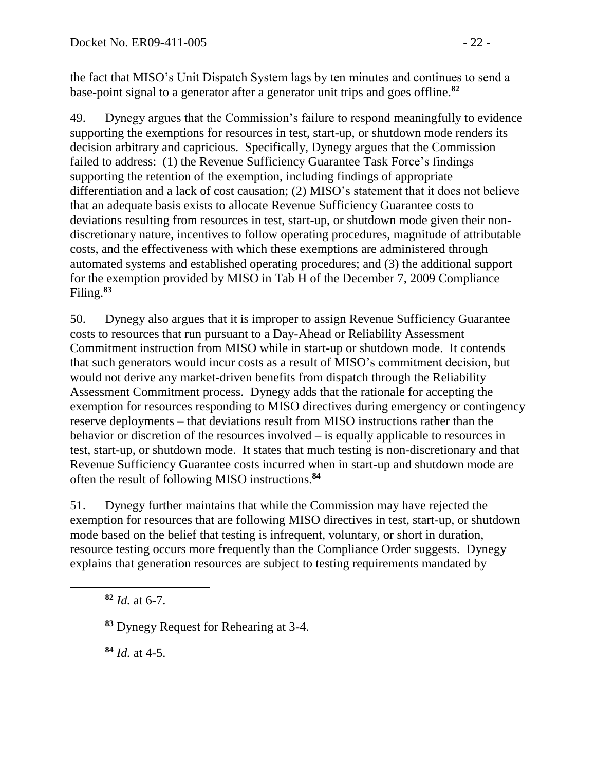the fact that MISO's Unit Dispatch System lags by ten minutes and continues to send a base**-**point signal to a generator after a generator unit trips and goes offline.**<sup>82</sup>**

49. Dynegy argues that the Commission's failure to respond meaningfully to evidence supporting the exemptions for resources in test, start-up, or shutdown mode renders its decision arbitrary and capricious. Specifically, Dynegy argues that the Commission failed to address: (1) the Revenue Sufficiency Guarantee Task Force's findings supporting the retention of the exemption, including findings of appropriate differentiation and a lack of cost causation; (2) MISO's statement that it does not believe that an adequate basis exists to allocate Revenue Sufficiency Guarantee costs to deviations resulting from resources in test, start-up, or shutdown mode given their nondiscretionary nature, incentives to follow operating procedures, magnitude of attributable costs, and the effectiveness with which these exemptions are administered through automated systems and established operating procedures; and (3) the additional support for the exemption provided by MISO in Tab H of the December 7, 2009 Compliance Filing.**<sup>83</sup>**

50. Dynegy also argues that it is improper to assign Revenue Sufficiency Guarantee costs to resources that run pursuant to a Day-Ahead or Reliability Assessment Commitment instruction from MISO while in start-up or shutdown mode. It contends that such generators would incur costs as a result of MISO's commitment decision, but would not derive any market-driven benefits from dispatch through the Reliability Assessment Commitment process. Dynegy adds that the rationale for accepting the exemption for resources responding to MISO directives during emergency or contingency reserve deployments – that deviations result from MISO instructions rather than the behavior or discretion of the resources involved – is equally applicable to resources in test, start-up, or shutdown mode. It states that much testing is non-discretionary and that Revenue Sufficiency Guarantee costs incurred when in start-up and shutdown mode are often the result of following MISO instructions.**<sup>84</sup>**

51. Dynegy further maintains that while the Commission may have rejected the exemption for resources that are following MISO directives in test, start-up, or shutdown mode based on the belief that testing is infrequent, voluntary, or short in duration, resource testing occurs more frequently than the Compliance Order suggests. Dynegy explains that generation resources are subject to testing requirements mandated by

**<sup>82</sup>** *Id.* at 6-7.

**<sup>84</sup>** *Id.* at 4-5.

**<sup>83</sup>** Dynegy Request for Rehearing at 3-4.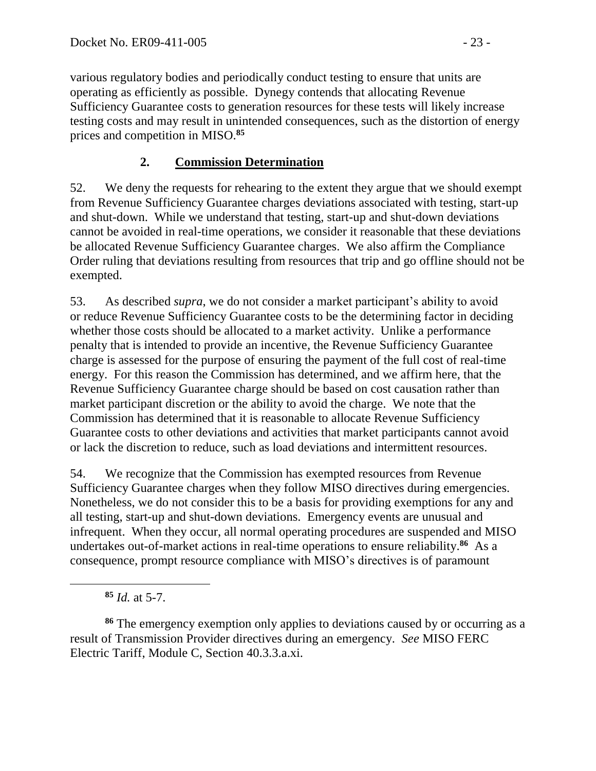various regulatory bodies and periodically conduct testing to ensure that units are operating as efficiently as possible. Dynegy contends that allocating Revenue Sufficiency Guarantee costs to generation resources for these tests will likely increase testing costs and may result in unintended consequences, such as the distortion of energy prices and competition in MISO. **85**

# **2. Commission Determination**

52. We deny the requests for rehearing to the extent they argue that we should exempt from Revenue Sufficiency Guarantee charges deviations associated with testing, start-up and shut-down. While we understand that testing, start-up and shut-down deviations cannot be avoided in real-time operations, we consider it reasonable that these deviations be allocated Revenue Sufficiency Guarantee charges. We also affirm the Compliance Order ruling that deviations resulting from resources that trip and go offline should not be exempted.

53. As described *supra*, we do not consider a market participant's ability to avoid or reduce Revenue Sufficiency Guarantee costs to be the determining factor in deciding whether those costs should be allocated to a market activity. Unlike a performance penalty that is intended to provide an incentive, the Revenue Sufficiency Guarantee charge is assessed for the purpose of ensuring the payment of the full cost of real-time energy. For this reason the Commission has determined, and we affirm here, that the Revenue Sufficiency Guarantee charge should be based on cost causation rather than market participant discretion or the ability to avoid the charge. We note that the Commission has determined that it is reasonable to allocate Revenue Sufficiency Guarantee costs to other deviations and activities that market participants cannot avoid or lack the discretion to reduce, such as load deviations and intermittent resources.

54. We recognize that the Commission has exempted resources from Revenue Sufficiency Guarantee charges when they follow MISO directives during emergencies. Nonetheless, we do not consider this to be a basis for providing exemptions for any and all testing, start-up and shut-down deviations. Emergency events are unusual and infrequent. When they occur, all normal operating procedures are suspended and MISO undertakes out-of-market actions in real-time operations to ensure reliability.<sup>86</sup> As a consequence, prompt resource compliance with MISO's directives is of paramount

**<sup>85</sup>** *Id.* at 5-7.

**<sup>86</sup>** The emergency exemption only applies to deviations caused by or occurring as a result of Transmission Provider directives during an emergency. *See* MISO FERC Electric Tariff, Module C, Section 40.3.3.a.xi.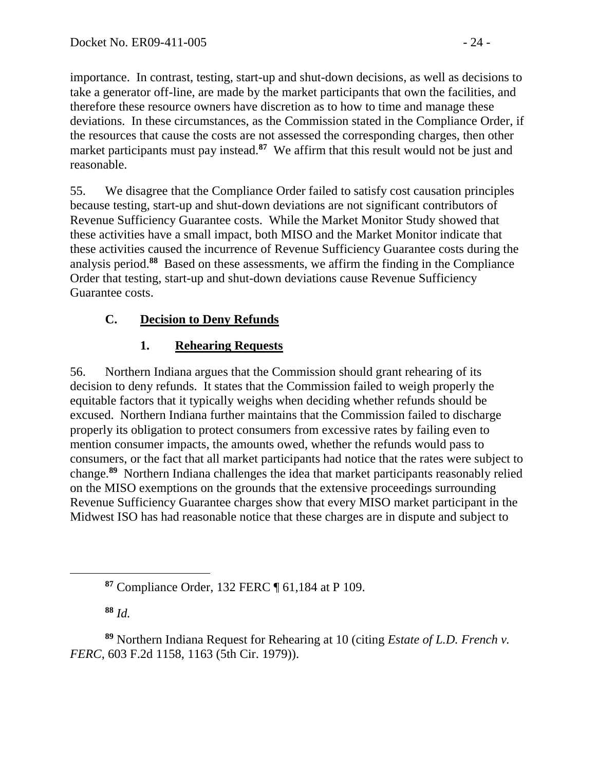importance. In contrast, testing, start-up and shut-down decisions, as well as decisions to take a generator off-line, are made by the market participants that own the facilities, and therefore these resource owners have discretion as to how to time and manage these deviations. In these circumstances, as the Commission stated in the Compliance Order, if the resources that cause the costs are not assessed the corresponding charges, then other market participants must pay instead.**<sup>87</sup>** We affirm that this result would not be just and reasonable.

55. We disagree that the Compliance Order failed to satisfy cost causation principles because testing, start-up and shut-down deviations are not significant contributors of Revenue Sufficiency Guarantee costs. While the Market Monitor Study showed that these activities have a small impact, both MISO and the Market Monitor indicate that these activities caused the incurrence of Revenue Sufficiency Guarantee costs during the analysis period.**<sup>88</sup>** Based on these assessments, we affirm the finding in the Compliance Order that testing, start-up and shut-down deviations cause Revenue Sufficiency Guarantee costs.

# **C. Decision to Deny Refunds**

# **1. Rehearing Requests**

56. Northern Indiana argues that the Commission should grant rehearing of its decision to deny refunds. It states that the Commission failed to weigh properly the equitable factors that it typically weighs when deciding whether refunds should be excused. Northern Indiana further maintains that the Commission failed to discharge properly its obligation to protect consumers from excessive rates by failing even to mention consumer impacts, the amounts owed, whether the refunds would pass to consumers, or the fact that all market participants had notice that the rates were subject to change.**<sup>89</sup>** Northern Indiana challenges the idea that market participants reasonably relied on the MISO exemptions on the grounds that the extensive proceedings surrounding Revenue Sufficiency Guarantee charges show that every MISO market participant in the Midwest ISO has had reasonable notice that these charges are in dispute and subject to

**<sup>88</sup>** *Id.*

**<sup>87</sup>** Compliance Order, 132 FERC ¶ 61,184 at P 109.

**<sup>89</sup>** Northern Indiana Request for Rehearing at 10 (citing *Estate of L.D. French v. FERC*, 603 F.2d 1158, 1163 (5th Cir. 1979)).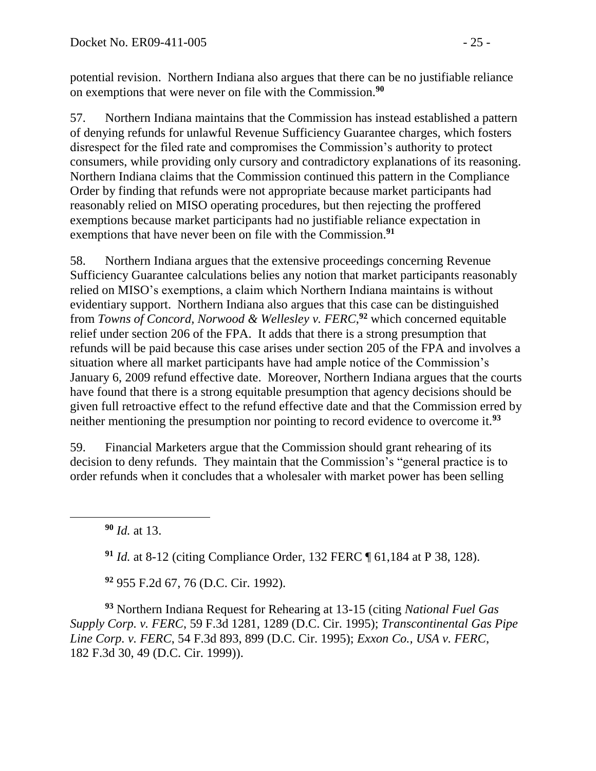potential revision. Northern Indiana also argues that there can be no justifiable reliance on exemptions that were never on file with the Commission.**<sup>90</sup>**

57. Northern Indiana maintains that the Commission has instead established a pattern of denying refunds for unlawful Revenue Sufficiency Guarantee charges, which fosters disrespect for the filed rate and compromises the Commission's authority to protect consumers, while providing only cursory and contradictory explanations of its reasoning. Northern Indiana claims that the Commission continued this pattern in the Compliance Order by finding that refunds were not appropriate because market participants had reasonably relied on MISO operating procedures, but then rejecting the proffered exemptions because market participants had no justifiable reliance expectation in exemptions that have never been on file with the Commission. **91**

58. Northern Indiana argues that the extensive proceedings concerning Revenue Sufficiency Guarantee calculations belies any notion that market participants reasonably relied on MISO's exemptions, a claim which Northern Indiana maintains is without evidentiary support. Northern Indiana also argues that this case can be distinguished from *Towns of Concord, Norwood & Wellesley v. FERC*, **<sup>92</sup>** which concerned equitable relief under section 206 of the FPA. It adds that there is a strong presumption that refunds will be paid because this case arises under section 205 of the FPA and involves a situation where all market participants have had ample notice of the Commission's January 6, 2009 refund effective date. Moreover, Northern Indiana argues that the courts have found that there is a strong equitable presumption that agency decisions should be given full retroactive effect to the refund effective date and that the Commission erred by neither mentioning the presumption nor pointing to record evidence to overcome it.**<sup>93</sup>**

59. Financial Marketers argue that the Commission should grant rehearing of its decision to deny refunds. They maintain that the Commission's "general practice is to order refunds when it concludes that a wholesaler with market power has been selling

**<sup>90</sup>** *Id.* at 13.

 $\overline{a}$ 

**<sup>91</sup>** *Id.* at 8-12 (citing Compliance Order, 132 FERC ¶ 61,184 at P 38, 128).

**<sup>92</sup>** 955 F.2d 67, 76 (D.C. Cir. 1992).

**<sup>93</sup>** Northern Indiana Request for Rehearing at 13-15 (citing *National Fuel Gas Supply Corp. v. FERC*, 59 F.3d 1281, 1289 (D.C. Cir. 1995); *Transcontinental Gas Pipe Line Corp. v. FERC*, 54 F.3d 893, 899 (D.C. Cir. 1995); *Exxon Co., USA v. FERC*, 182 F.3d 30, 49 (D.C. Cir. 1999)).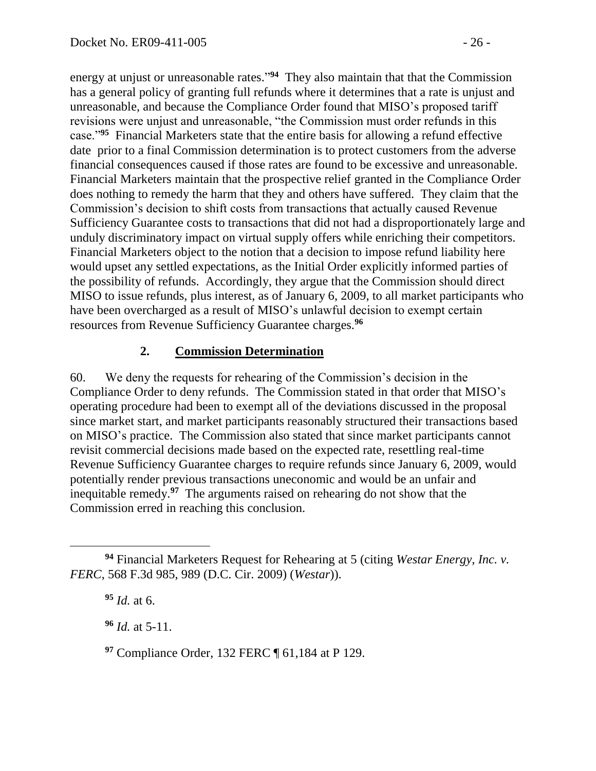energy at unjust or unreasonable rates."<sup>94</sup> They also maintain that that the Commission has a general policy of granting full refunds where it determines that a rate is unjust and unreasonable, and because the Compliance Order found that MISO's proposed tariff revisions were unjust and unreasonable, "the Commission must order refunds in this case."**<sup>95</sup>** Financial Marketers state that the entire basis for allowing a refund effective date prior to a final Commission determination is to protect customers from the adverse financial consequences caused if those rates are found to be excessive and unreasonable. Financial Marketers maintain that the prospective relief granted in the Compliance Order does nothing to remedy the harm that they and others have suffered. They claim that the Commission's decision to shift costs from transactions that actually caused Revenue Sufficiency Guarantee costs to transactions that did not had a disproportionately large and unduly discriminatory impact on virtual supply offers while enriching their competitors. Financial Marketers object to the notion that a decision to impose refund liability here would upset any settled expectations, as the Initial Order explicitly informed parties of the possibility of refunds. Accordingly, they argue that the Commission should direct MISO to issue refunds, plus interest, as of January 6, 2009, to all market participants who have been overcharged as a result of MISO's unlawful decision to exempt certain resources from Revenue Sufficiency Guarantee charges.**<sup>96</sup>**

### **2. Commission Determination**

60. We deny the requests for rehearing of the Commission's decision in the Compliance Order to deny refunds. The Commission stated in that order that MISO's operating procedure had been to exempt all of the deviations discussed in the proposal since market start, and market participants reasonably structured their transactions based on MISO's practice. The Commission also stated that since market participants cannot revisit commercial decisions made based on the expected rate, resettling real-time Revenue Sufficiency Guarantee charges to require refunds since January 6, 2009, would potentially render previous transactions uneconomic and would be an unfair and inequitable remedy.**<sup>97</sup>** The arguments raised on rehearing do not show that the Commission erred in reaching this conclusion.

**<sup>95</sup>** *Id.* at 6.

**<sup>96</sup>** *Id.* at 5-11.

**<sup>97</sup>** Compliance Order, 132 FERC ¶ 61,184 at P 129.

**<sup>94</sup>** Financial Marketers Request for Rehearing at 5 (citing *Westar Energy, Inc. v. FERC*, 568 F.3d 985, 989 (D.C. Cir. 2009) (*Westar*)).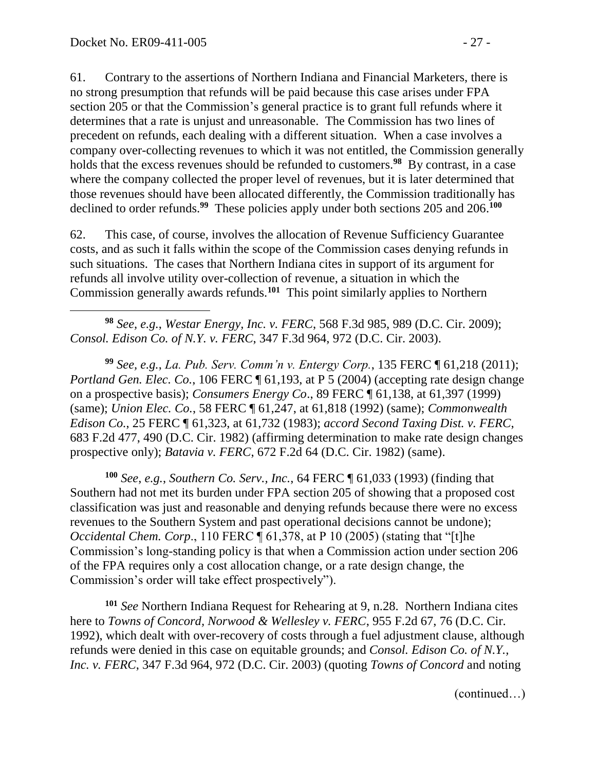61. Contrary to the assertions of Northern Indiana and Financial Marketers, there is no strong presumption that refunds will be paid because this case arises under FPA section 205 or that the Commission's general practice is to grant full refunds where it determines that a rate is unjust and unreasonable. The Commission has two lines of precedent on refunds, each dealing with a different situation. When a case involves a company over-collecting revenues to which it was not entitled, the Commission generally holds that the excess revenues should be refunded to customers.**<sup>98</sup>** By contrast, in a case where the company collected the proper level of revenues, but it is later determined that those revenues should have been allocated differently, the Commission traditionally has declined to order refunds.<sup>99</sup> These policies apply under both sections 205 and 206.<sup>100</sup>

62. This case, of course, involves the allocation of Revenue Sufficiency Guarantee costs, and as such it falls within the scope of the Commission cases denying refunds in such situations. The cases that Northern Indiana cites in support of its argument for refunds all involve utility over-collection of revenue, a situation in which the Commission generally awards refunds.**<sup>101</sup>** This point similarly applies to Northern

 $\overline{a}$ **<sup>98</sup>** *See, e.g.*, *Westar Energy, Inc. v. FERC*, 568 F.3d 985, 989 (D.C. Cir. 2009); *Consol. Edison Co. of N.Y. v. FERC*, 347 F.3d 964, 972 (D.C. Cir. 2003).

**<sup>99</sup>** *See, e.g.*, *La. Pub. Serv. Comm'n v. Entergy Corp.*, 135 FERC ¶ 61,218 (2011); *Portland Gen. Elec. Co.,* 106 FERC  $\P$  61,193, at P 5 (2004) (accepting rate design change on a prospective basis); *Consumers Energy Co*., 89 FERC ¶ 61,138, at 61,397 (1999) (same); *Union Elec. Co.*, 58 FERC ¶ 61,247, at 61,818 (1992) (same); *Commonwealth Edison Co.*, 25 FERC ¶ 61,323, at 61,732 (1983); *accord Second Taxing Dist. v. FERC*, 683 F.2d 477, 490 (D.C. Cir. 1982) (affirming determination to make rate design changes prospective only); *Batavia v. FERC*, 672 F.2d 64 (D.C. Cir. 1982) (same).

**<sup>100</sup>** *See*, *e.g.*, *Southern Co. Serv., Inc.*, 64 FERC ¶ 61,033 (1993) (finding that Southern had not met its burden under FPA section 205 of showing that a proposed cost classification was just and reasonable and denying refunds because there were no excess revenues to the Southern System and past operational decisions cannot be undone); *Occidental Chem. Corp.*, 110 FERC **[61.378, at P 10 (2005)** (stating that "[t]he Commission's long-standing policy is that when a Commission action under section 206 of the FPA requires only a cost allocation change, or a rate design change, the Commission's order will take effect prospectively").

**<sup>101</sup>** *See* Northern Indiana Request for Rehearing at 9, n.28. Northern Indiana cites here to *Towns of Concord, Norwood & Wellesley v. FERC*, 955 F.2d 67, 76 (D.C. Cir. 1992), which dealt with over-recovery of costs through a fuel adjustment clause, although refunds were denied in this case on equitable grounds; and *Consol. Edison Co. of N.Y., Inc. v. FERC*, 347 F.3d 964, 972 (D.C. Cir. 2003) (quoting *Towns of Concord* and noting

(continued…)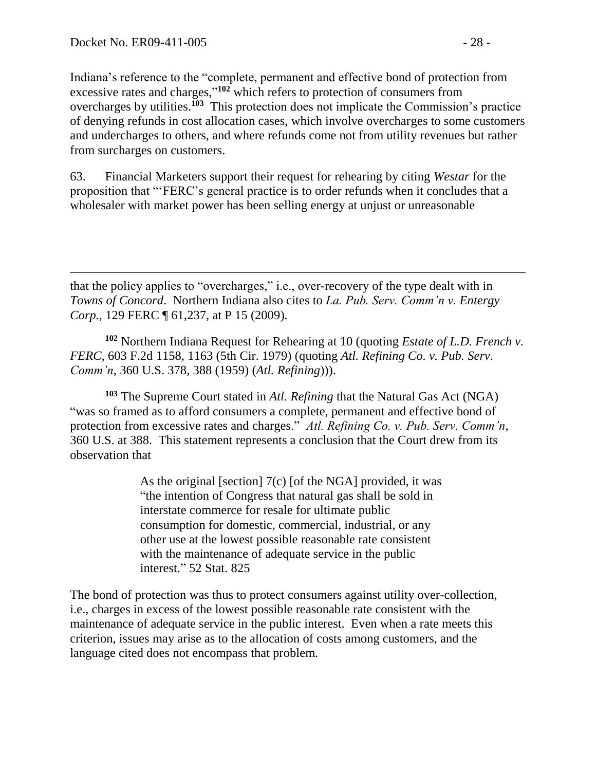$\overline{a}$ 

Indiana's reference to the "complete, permanent and effective bond of protection from excessive rates and charges,"<sup>102</sup> which refers to protection of consumers from overcharges by utilities.**<sup>103</sup>** This protection does not implicate the Commission's practice of denying refunds in cost allocation cases, which involve overcharges to some customers and undercharges to others, and where refunds come not from utility revenues but rather from surcharges on customers.

63. Financial Marketers support their request for rehearing by citing *Westar* for the proposition that "'FERC's general practice is to order refunds when it concludes that a wholesaler with market power has been selling energy at unjust or unreasonable

that the policy applies to "overcharges," i.e., over-recovery of the type dealt with in *Towns of Concord*. Northern Indiana also cites to *La. Pub. Serv. Comm'n v. Entergy Corp.*, 129 FERC ¶ 61,237, at P 15 (2009).

**<sup>102</sup>** Northern Indiana Request for Rehearing at 10 (quoting *Estate of L.D. French v. FERC*, 603 F.2d 1158, 1163 (5th Cir. 1979) (quoting *Atl. Refining Co. v. Pub. Serv. Comm'n*, 360 U.S. 378, 388 (1959) (*Atl. Refining*))).

**<sup>103</sup>** The Supreme Court stated in *Atl. Refining* that the Natural Gas Act (NGA) "was so framed as to afford consumers a complete, permanent and effective bond of protection from excessive rates and charges." *Atl. Refining Co. v. Pub. Serv. Comm'n*, 360 U.S. at 388. This statement represents a conclusion that the Court drew from its observation that

> As the original [section] 7(c) [of the NGA] provided, it was "the intention of Congress that natural gas shall be sold in interstate commerce for resale for ultimate public consumption for domestic, commercial, industrial, or any other use at the lowest possible reasonable rate consistent with the maintenance of adequate service in the public interest." 52 Stat. 825

The bond of protection was thus to protect consumers against utility over-collection, i.e., charges in excess of the lowest possible reasonable rate consistent with the maintenance of adequate service in the public interest. Even when a rate meets this criterion, issues may arise as to the allocation of costs among customers, and the language cited does not encompass that problem.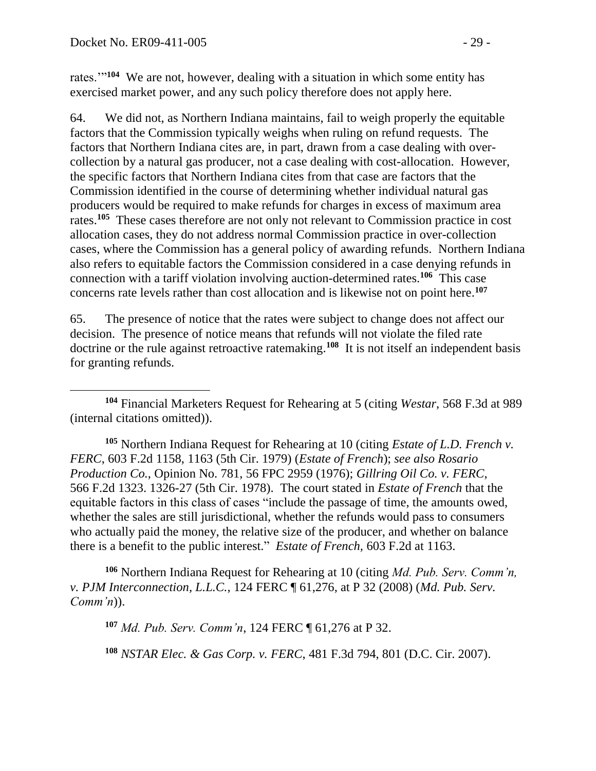rates."<sup>104</sup> We are not, however, dealing with a situation in which some entity has exercised market power, and any such policy therefore does not apply here.

64. We did not, as Northern Indiana maintains, fail to weigh properly the equitable factors that the Commission typically weighs when ruling on refund requests. The factors that Northern Indiana cites are, in part, drawn from a case dealing with overcollection by a natural gas producer, not a case dealing with cost-allocation. However, the specific factors that Northern Indiana cites from that case are factors that the Commission identified in the course of determining whether individual natural gas producers would be required to make refunds for charges in excess of maximum area rates.**<sup>105</sup>** These cases therefore are not only not relevant to Commission practice in cost allocation cases, they do not address normal Commission practice in over-collection cases, where the Commission has a general policy of awarding refunds. Northern Indiana also refers to equitable factors the Commission considered in a case denying refunds in connection with a tariff violation involving auction-determined rates.**<sup>106</sup>** This case concerns rate levels rather than cost allocation and is likewise not on point here. **107**

65. The presence of notice that the rates were subject to change does not affect our decision. The presence of notice means that refunds will not violate the filed rate doctrine or the rule against retroactive ratemaking.**<sup>108</sup>** It is not itself an independent basis for granting refunds.

 $\overline{a}$ **<sup>104</sup>** Financial Marketers Request for Rehearing at 5 (citing *Westar*, 568 F.3d at 989 (internal citations omitted)).

**<sup>105</sup>** Northern Indiana Request for Rehearing at 10 (citing *Estate of L.D. French v. FERC*, 603 F.2d 1158, 1163 (5th Cir. 1979) (*Estate of French*); *see also Rosario Production Co.*, Opinion No. 781, 56 FPC 2959 (1976); *Gillring Oil Co. v. FERC*, 566 F.2d 1323. 1326-27 (5th Cir. 1978). The court stated in *Estate of French* that the equitable factors in this class of cases "include the passage of time, the amounts owed, whether the sales are still jurisdictional, whether the refunds would pass to consumers who actually paid the money, the relative size of the producer, and whether on balance there is a benefit to the public interest." *Estate of French,* 603 F.2d at 1163.

**<sup>106</sup>** Northern Indiana Request for Rehearing at 10 (citing *Md. Pub. Serv. Comm'n, v. PJM Interconnection, L.L.C.*, 124 FERC ¶ 61,276, at P 32 (2008) (*Md. Pub. Serv. Comm'n*)).

**<sup>107</sup>** *Md. Pub. Serv. Comm'n*, 124 FERC ¶ 61,276 at P 32.

**<sup>108</sup>** *NSTAR Elec. & Gas Corp. v. FERC*, 481 F.3d 794, 801 (D.C. Cir. 2007).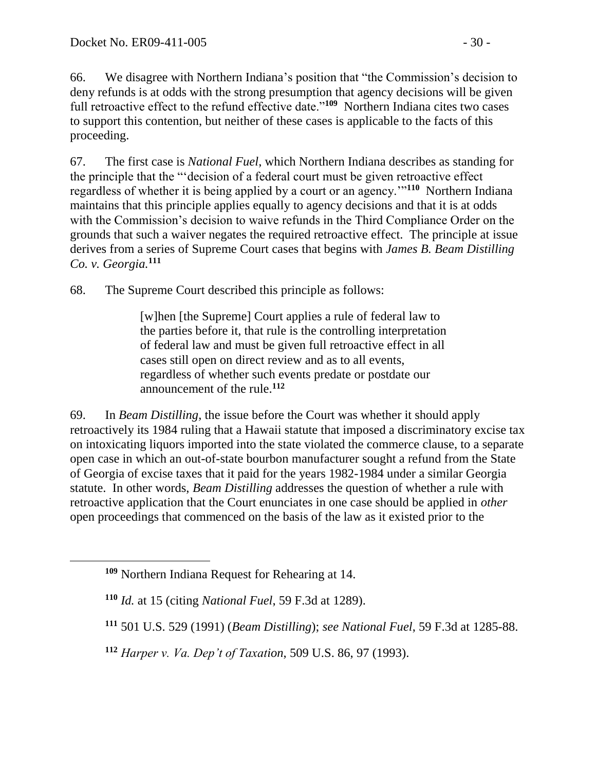66. We disagree with Northern Indiana's position that "the Commission's decision to deny refunds is at odds with the strong presumption that agency decisions will be given full retroactive effect to the refund effective date."<sup>109</sup> Northern Indiana cites two cases to support this contention, but neither of these cases is applicable to the facts of this proceeding.

67. The first case is *National Fuel*, which Northern Indiana describes as standing for the principle that the "'decision of a federal court must be given retroactive effect regardless of whether it is being applied by a court or an agency.'"**<sup>110</sup>** Northern Indiana maintains that this principle applies equally to agency decisions and that it is at odds with the Commission's decision to waive refunds in the Third Compliance Order on the grounds that such a waiver negates the required retroactive effect. The principle at issue derives from a series of Supreme Court cases that begins with *James B. Beam Distilling Co. v. Georgia.***<sup>111</sup>**

68. The Supreme Court described this principle as follows:

[w]hen [the Supreme] Court applies a rule of federal law to the parties before it, that rule is the controlling interpretation of federal law and must be given full retroactive effect in all cases still open on direct review and as to all events, regardless of whether such events predate or postdate our announcement of the rule.**<sup>112</sup>**

69. In *Beam Distilling*, the issue before the Court was whether it should apply retroactively its 1984 ruling that a Hawaii statute that imposed a discriminatory excise tax on intoxicating liquors imported into the state violated the commerce clause, to a separate open case in which an out-of-state bourbon manufacturer sought a refund from the State of Georgia of excise taxes that it paid for the years 1982-1984 under a similar Georgia statute. In other words, *Beam Distilling* addresses the question of whether a rule with retroactive application that the Court enunciates in one case should be applied in *other*  open proceedings that commenced on the basis of the law as it existed prior to the

**<sup>111</sup>** 501 U.S. 529 (1991) (*Beam Distilling*); *see National Fuel*, 59 F.3d at 1285-88.

**<sup>112</sup>** *Harper v. Va. Dep't of Taxation*, 509 U.S. 86, 97 (1993).

**<sup>109</sup>** Northern Indiana Request for Rehearing at 14.

**<sup>110</sup>** *Id.* at 15 (citing *National Fuel*, 59 F.3d at 1289).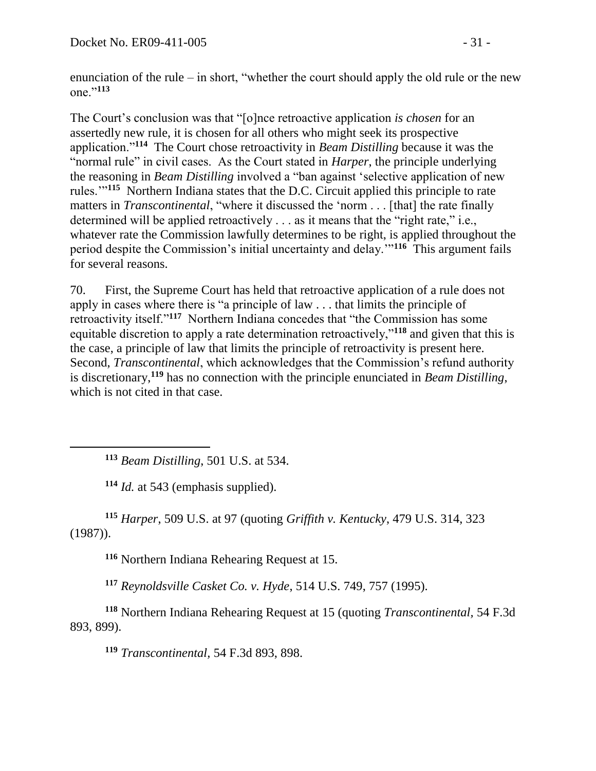enunciation of the rule – in short, "whether the court should apply the old rule or the new one."**<sup>113</sup>**

The Court's conclusion was that "[o]nce retroactive application *is chosen* for an assertedly new rule, it is chosen for all others who might seek its prospective application."**<sup>114</sup>** The Court chose retroactivity in *Beam Distilling* because it was the "normal rule" in civil cases. As the Court stated in *Harper*, the principle underlying the reasoning in *Beam Distilling* involved a "ban against 'selective application of new rules.'"**<sup>115</sup>** Northern Indiana states that the D.C. Circuit applied this principle to rate matters in *Transcontinental*, "where it discussed the 'norm . . . [that] the rate finally determined will be applied retroactively . . . as it means that the "right rate," i.e., whatever rate the Commission lawfully determines to be right, is applied throughout the period despite the Commission's initial uncertainty and delay.'"**<sup>116</sup>** This argument fails for several reasons.

70. First, the Supreme Court has held that retroactive application of a rule does not apply in cases where there is "a principle of law . . . that limits the principle of retroactivity itself."**<sup>117</sup>** Northern Indiana concedes that "the Commission has some equitable discretion to apply a rate determination retroactively,"**<sup>118</sup>** and given that this is the case, a principle of law that limits the principle of retroactivity is present here. Second, *Transcontinental*, which acknowledges that the Commission's refund authority is discretionary,**<sup>119</sup>** has no connection with the principle enunciated in *Beam Distilling*, which is not cited in that case.

**<sup>113</sup>** *Beam Distilling*, 501 U.S. at 534.

**<sup>114</sup>** *Id.* at 543 (emphasis supplied).

 $\overline{a}$ 

**<sup>115</sup>** *Harper*, 509 U.S. at 97 (quoting *Griffith v. Kentucky*, 479 U.S. 314, 323 (1987)).

**<sup>116</sup>** Northern Indiana Rehearing Request at 15.

**<sup>117</sup>** *Reynoldsville Casket Co. v. Hyde*, 514 U.S. 749, 757 (1995).

**<sup>118</sup>** Northern Indiana Rehearing Request at 15 (quoting *Transcontinental,* 54 F.3d 893, 899).

**<sup>119</sup>** *Transcontinental,* 54 F.3d 893, 898.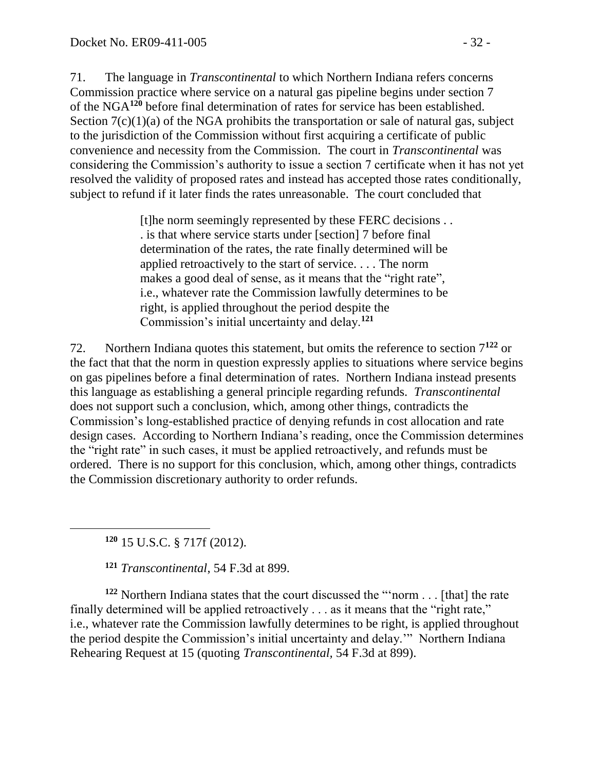71. The language in *Transcontinental* to which Northern Indiana refers concerns Commission practice where service on a natural gas pipeline begins under section 7 of the NGA**<sup>120</sup>** before final determination of rates for service has been established. Section  $7(c)(1)(a)$  of the NGA prohibits the transportation or sale of natural gas, subject to the jurisdiction of the Commission without first acquiring a certificate of public convenience and necessity from the Commission. The court in *Transcontinental* was considering the Commission's authority to issue a section 7 certificate when it has not yet resolved the validity of proposed rates and instead has accepted those rates conditionally, subject to refund if it later finds the rates unreasonable. The court concluded that

> [t]he norm seemingly represented by these FERC decisions . . . is that where service starts under [section] 7 before final determination of the rates, the rate finally determined will be applied retroactively to the start of service. . . . The norm makes a good deal of sense, as it means that the "right rate", i.e., whatever rate the Commission lawfully determines to be right, is applied throughout the period despite the Commission's initial uncertainty and delay.**<sup>121</sup>**

72. Northern Indiana quotes this statement, but omits the reference to section 7**<sup>122</sup>** or the fact that that the norm in question expressly applies to situations where service begins on gas pipelines before a final determination of rates. Northern Indiana instead presents this language as establishing a general principle regarding refunds. *Transcontinental*  does not support such a conclusion, which, among other things, contradicts the Commission's long-established practice of denying refunds in cost allocation and rate design cases. According to Northern Indiana's reading, once the Commission determines the "right rate" in such cases, it must be applied retroactively, and refunds must be ordered. There is no support for this conclusion, which, among other things, contradicts the Commission discretionary authority to order refunds.

**<sup>120</sup>** 15 U.S.C. § 717f (2012).

 $\overline{a}$ 

**<sup>121</sup>** *Transcontinental*, 54 F.3d at 899.

**<sup>122</sup>** Northern Indiana states that the court discussed the "'norm . . . [that] the rate finally determined will be applied retroactively . . . as it means that the "right rate," i.e., whatever rate the Commission lawfully determines to be right, is applied throughout the period despite the Commission's initial uncertainty and delay.'" Northern Indiana Rehearing Request at 15 (quoting *Transcontinental,* 54 F.3d at 899).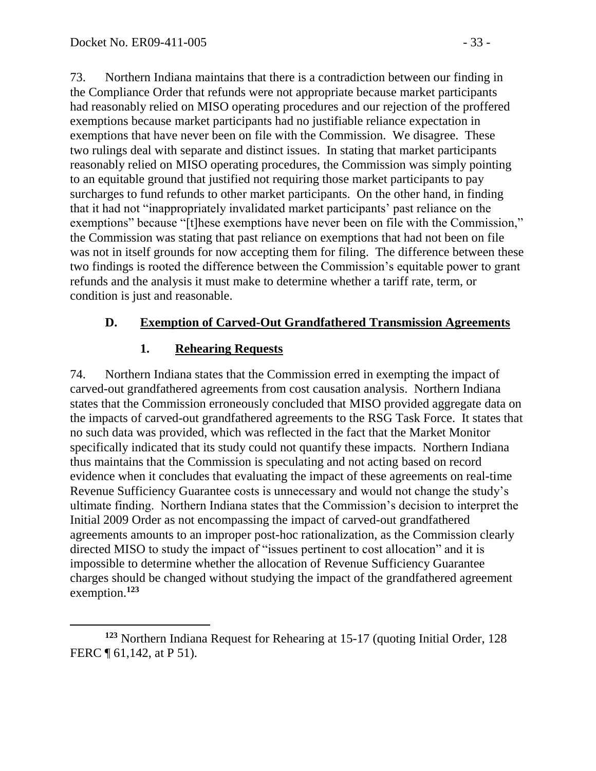73. Northern Indiana maintains that there is a contradiction between our finding in the Compliance Order that refunds were not appropriate because market participants had reasonably relied on MISO operating procedures and our rejection of the proffered exemptions because market participants had no justifiable reliance expectation in exemptions that have never been on file with the Commission. We disagree. These two rulings deal with separate and distinct issues. In stating that market participants reasonably relied on MISO operating procedures, the Commission was simply pointing to an equitable ground that justified not requiring those market participants to pay surcharges to fund refunds to other market participants. On the other hand, in finding that it had not "inappropriately invalidated market participants' past reliance on the exemptions" because "[t]hese exemptions have never been on file with the Commission," the Commission was stating that past reliance on exemptions that had not been on file was not in itself grounds for now accepting them for filing. The difference between these two findings is rooted the difference between the Commission's equitable power to grant refunds and the analysis it must make to determine whether a tariff rate, term, or condition is just and reasonable.

### **D. Exemption of Carved-Out Grandfathered Transmission Agreements**

#### **1. Rehearing Requests**

74. Northern Indiana states that the Commission erred in exempting the impact of carved-out grandfathered agreements from cost causation analysis. Northern Indiana states that the Commission erroneously concluded that MISO provided aggregate data on the impacts of carved-out grandfathered agreements to the RSG Task Force. It states that no such data was provided, which was reflected in the fact that the Market Monitor specifically indicated that its study could not quantify these impacts. Northern Indiana thus maintains that the Commission is speculating and not acting based on record evidence when it concludes that evaluating the impact of these agreements on real-time Revenue Sufficiency Guarantee costs is unnecessary and would not change the study's ultimate finding. Northern Indiana states that the Commission's decision to interpret the Initial 2009 Order as not encompassing the impact of carved-out grandfathered agreements amounts to an improper post-hoc rationalization, as the Commission clearly directed MISO to study the impact of "issues pertinent to cost allocation" and it is impossible to determine whether the allocation of Revenue Sufficiency Guarantee charges should be changed without studying the impact of the grandfathered agreement exemption.**<sup>123</sup>**

**<sup>123</sup>** Northern Indiana Request for Rehearing at 15-17 (quoting Initial Order, 128 FERC  $\P$  61,142, at P 51).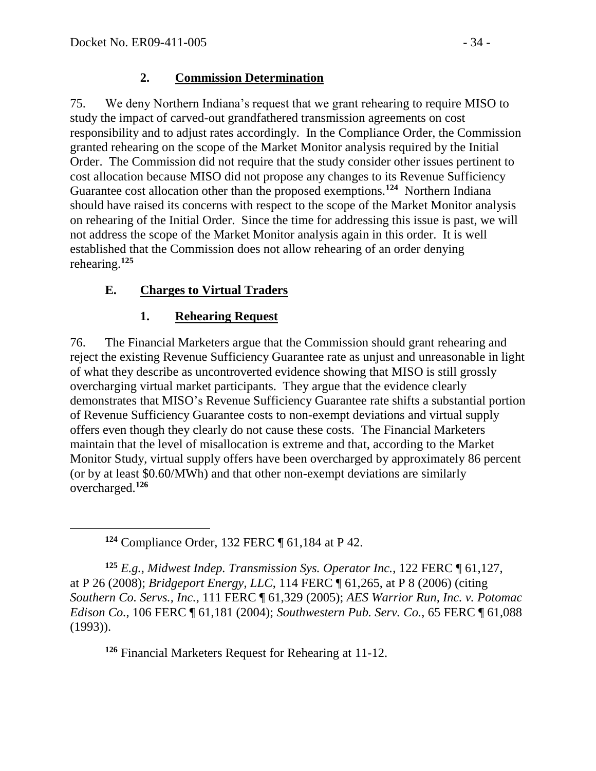$\overline{a}$ 

### **2. Commission Determination**

75. We deny Northern Indiana's request that we grant rehearing to require MISO to study the impact of carved-out grandfathered transmission agreements on cost responsibility and to adjust rates accordingly. In the Compliance Order, the Commission granted rehearing on the scope of the Market Monitor analysis required by the Initial Order. The Commission did not require that the study consider other issues pertinent to cost allocation because MISO did not propose any changes to its Revenue Sufficiency Guarantee cost allocation other than the proposed exemptions.**<sup>124</sup>** Northern Indiana should have raised its concerns with respect to the scope of the Market Monitor analysis on rehearing of the Initial Order. Since the time for addressing this issue is past, we will not address the scope of the Market Monitor analysis again in this order. It is well established that the Commission does not allow rehearing of an order denying rehearing.**<sup>125</sup>**

# **E. Charges to Virtual Traders**

# **1. Rehearing Request**

76. The Financial Marketers argue that the Commission should grant rehearing and reject the existing Revenue Sufficiency Guarantee rate as unjust and unreasonable in light of what they describe as uncontroverted evidence showing that MISO is still grossly overcharging virtual market participants. They argue that the evidence clearly demonstrates that MISO's Revenue Sufficiency Guarantee rate shifts a substantial portion of Revenue Sufficiency Guarantee costs to non-exempt deviations and virtual supply offers even though they clearly do not cause these costs. The Financial Marketers maintain that the level of misallocation is extreme and that, according to the Market Monitor Study, virtual supply offers have been overcharged by approximately 86 percent (or by at least \$0.60/MWh) and that other non-exempt deviations are similarly overcharged.**<sup>126</sup>**

**<sup>124</sup>** Compliance Order, 132 FERC ¶ 61,184 at P 42.

**<sup>125</sup>** *E.g.*, *Midwest Indep. Transmission Sys. Operator Inc.*, 122 FERC ¶ 61,127, at P 26 (2008); *Bridgeport Energy, LLC*, 114 FERC ¶ 61,265, at P 8 (2006) (citing *Southern Co. Servs., Inc.*, 111 FERC ¶ 61,329 (2005); *AES Warrior Run, Inc. v. Potomac Edison Co.*, 106 FERC ¶ 61,181 (2004); *Southwestern Pub. Serv. Co.*, 65 FERC ¶ 61,088 (1993)).

**<sup>126</sup>** Financial Marketers Request for Rehearing at 11-12.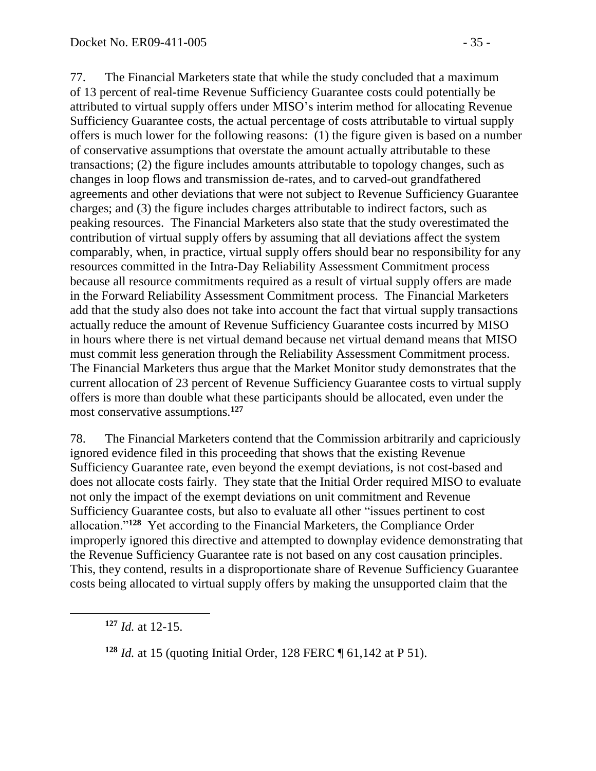77. The Financial Marketers state that while the study concluded that a maximum of 13 percent of real-time Revenue Sufficiency Guarantee costs could potentially be attributed to virtual supply offers under MISO's interim method for allocating Revenue Sufficiency Guarantee costs, the actual percentage of costs attributable to virtual supply offers is much lower for the following reasons: (1) the figure given is based on a number of conservative assumptions that overstate the amount actually attributable to these transactions; (2) the figure includes amounts attributable to topology changes, such as changes in loop flows and transmission de-rates, and to carved-out grandfathered agreements and other deviations that were not subject to Revenue Sufficiency Guarantee charges; and (3) the figure includes charges attributable to indirect factors, such as peaking resources. The Financial Marketers also state that the study overestimated the contribution of virtual supply offers by assuming that all deviations affect the system comparably, when, in practice, virtual supply offers should bear no responsibility for any resources committed in the Intra-Day Reliability Assessment Commitment process because all resource commitments required as a result of virtual supply offers are made in the Forward Reliability Assessment Commitment process. The Financial Marketers add that the study also does not take into account the fact that virtual supply transactions actually reduce the amount of Revenue Sufficiency Guarantee costs incurred by MISO in hours where there is net virtual demand because net virtual demand means that MISO must commit less generation through the Reliability Assessment Commitment process. The Financial Marketers thus argue that the Market Monitor study demonstrates that the current allocation of 23 percent of Revenue Sufficiency Guarantee costs to virtual supply offers is more than double what these participants should be allocated, even under the most conservative assumptions.**<sup>127</sup>**

78. The Financial Marketers contend that the Commission arbitrarily and capriciously ignored evidence filed in this proceeding that shows that the existing Revenue Sufficiency Guarantee rate, even beyond the exempt deviations, is not cost-based and does not allocate costs fairly. They state that the Initial Order required MISO to evaluate not only the impact of the exempt deviations on unit commitment and Revenue Sufficiency Guarantee costs, but also to evaluate all other "issues pertinent to cost allocation."**<sup>128</sup>** Yet according to the Financial Marketers, the Compliance Order improperly ignored this directive and attempted to downplay evidence demonstrating that the Revenue Sufficiency Guarantee rate is not based on any cost causation principles. This, they contend, results in a disproportionate share of Revenue Sufficiency Guarantee costs being allocated to virtual supply offers by making the unsupported claim that the

**<sup>127</sup>** *Id.* at 12-15.

**<sup>128</sup>** *Id.* at 15 (quoting Initial Order, 128 FERC ¶ 61,142 at P 51).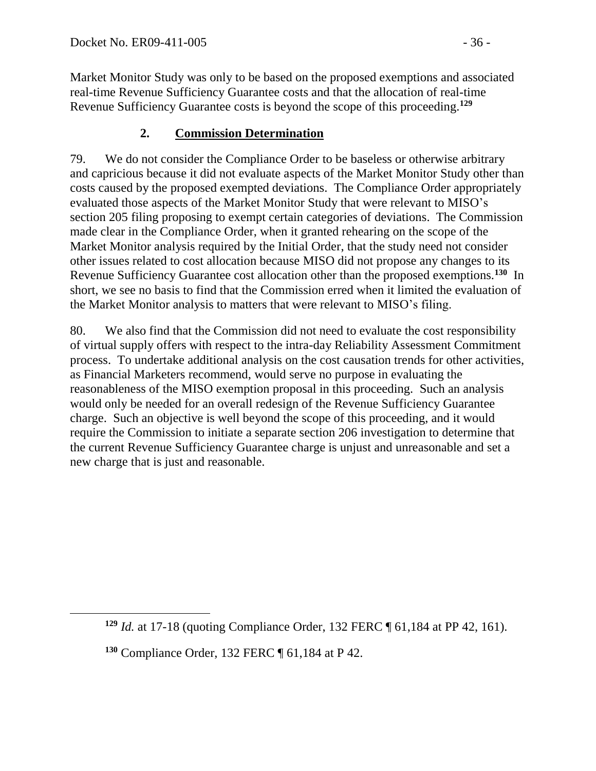Market Monitor Study was only to be based on the proposed exemptions and associated real-time Revenue Sufficiency Guarantee costs and that the allocation of real-time Revenue Sufficiency Guarantee costs is beyond the scope of this proceeding.**<sup>129</sup>**

# **2. Commission Determination**

79. We do not consider the Compliance Order to be baseless or otherwise arbitrary and capricious because it did not evaluate aspects of the Market Monitor Study other than costs caused by the proposed exempted deviations. The Compliance Order appropriately evaluated those aspects of the Market Monitor Study that were relevant to MISO's section 205 filing proposing to exempt certain categories of deviations. The Commission made clear in the Compliance Order, when it granted rehearing on the scope of the Market Monitor analysis required by the Initial Order, that the study need not consider other issues related to cost allocation because MISO did not propose any changes to its Revenue Sufficiency Guarantee cost allocation other than the proposed exemptions.**<sup>130</sup>** In short, we see no basis to find that the Commission erred when it limited the evaluation of the Market Monitor analysis to matters that were relevant to MISO's filing.

80. We also find that the Commission did not need to evaluate the cost responsibility of virtual supply offers with respect to the intra-day Reliability Assessment Commitment process. To undertake additional analysis on the cost causation trends for other activities, as Financial Marketers recommend, would serve no purpose in evaluating the reasonableness of the MISO exemption proposal in this proceeding. Such an analysis would only be needed for an overall redesign of the Revenue Sufficiency Guarantee charge. Such an objective is well beyond the scope of this proceeding, and it would require the Commission to initiate a separate section 206 investigation to determine that the current Revenue Sufficiency Guarantee charge is unjust and unreasonable and set a new charge that is just and reasonable.

**<sup>129</sup>** *Id.* at 17-18 (quoting Compliance Order, 132 FERC ¶ 61,184 at PP 42, 161).

**<sup>130</sup>** Compliance Order, 132 FERC ¶ 61,184 at P 42.